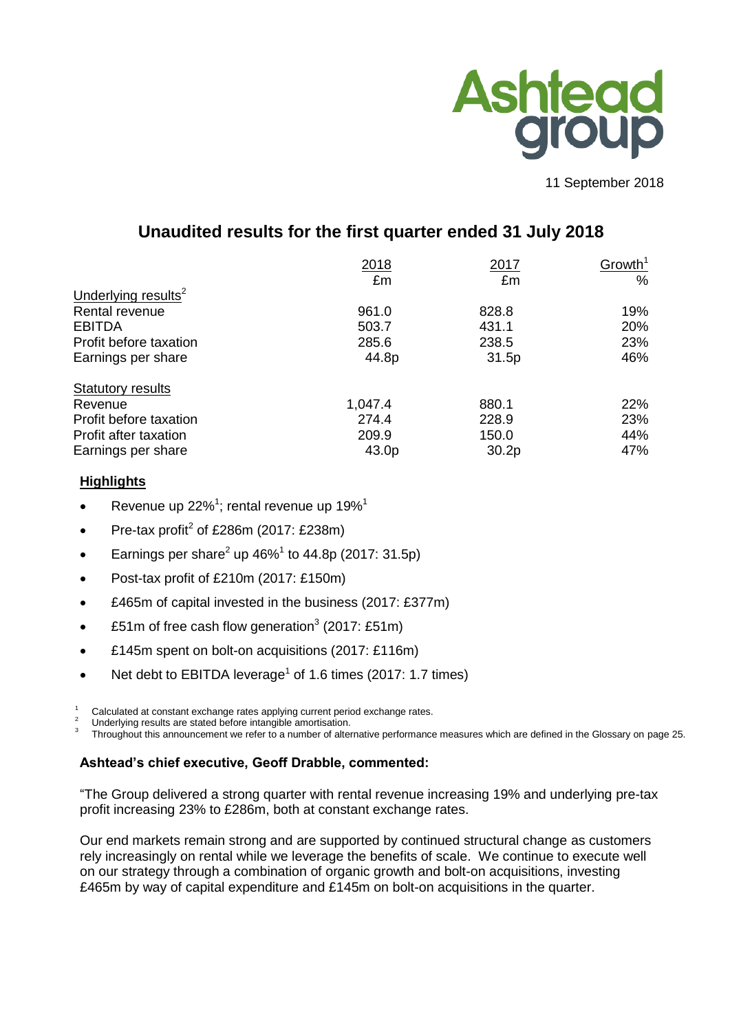

11 September 2018

# **Unaudited results for the first quarter ended 31 July 2018**

|                                 | 2018<br>£m | 2017<br>£m        | Growth <sup>1</sup><br>$\%$ |
|---------------------------------|------------|-------------------|-----------------------------|
| Underlying results <sup>2</sup> |            |                   |                             |
| Rental revenue                  | 961.0      | 828.8             | 19%                         |
| <b>EBITDA</b>                   | 503.7      | 431.1             | 20%                         |
| Profit before taxation          | 285.6      | 238.5             | 23%                         |
| Earnings per share              | 44.8p      | 31.5p             | 46%                         |
| <b>Statutory results</b>        |            |                   |                             |
| Revenue                         | 1,047.4    | 880.1             | 22%                         |
| Profit before taxation          | 274.4      | 228.9             | 23%                         |
| Profit after taxation           | 209.9      | 150.0             | 44%                         |
| Earnings per share              | 43.0p      | 30.2 <sub>p</sub> | 47%                         |

# **Highlights**

- Revenue up 22%<sup>1</sup>; rental revenue up 19%<sup>1</sup>
- Pre-tax profit<sup>2</sup> of £286m (2017: £238m)
- Earnings per share<sup>2</sup> up 46%<sup>1</sup> to 44.8p (2017: 31.5p)
- Post-tax profit of £210m (2017: £150m)
- £465m of capital invested in the business (2017: £377m)
- £51m of free cash flow generation<sup>3</sup> (2017: £51m)
- £145m spent on bolt-on acquisitions (2017: £116m)
- Net debt to EBITDA leverage<sup>1</sup> of 1.6 times (2017: 1.7 times)
- Calculated at constant exchange rates applying current period exchange rates.
- Underlying results are stated before intangible amortisation.
- 3 Throughout this announcement we refer to a number of alternative performance measures which are defined in the Glossary on page 25.

# **Ashtead's chief executive, Geoff Drabble, commented:**

"The Group delivered a strong quarter with rental revenue increasing 19% and underlying pre-tax profit increasing 23% to £286m, both at constant exchange rates.

Our end markets remain strong and are supported by continued structural change as customers rely increasingly on rental while we leverage the benefits of scale. We continue to execute well on our strategy through a combination of organic growth and bolt-on acquisitions, investing £465m by way of capital expenditure and £145m on bolt-on acquisitions in the quarter.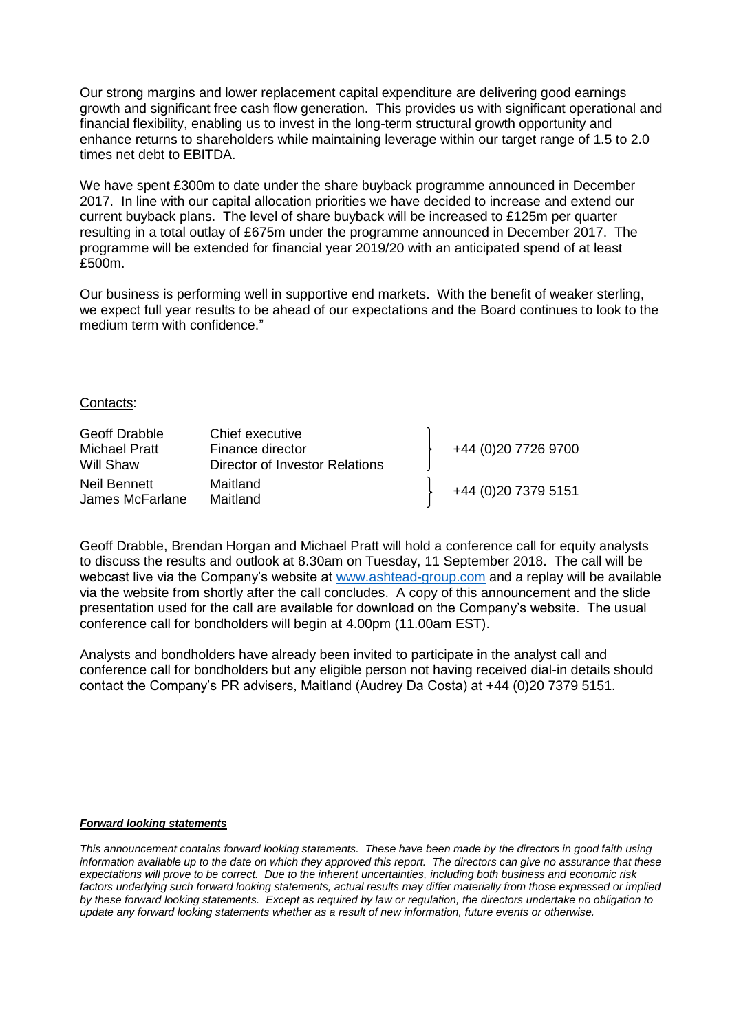Our strong margins and lower replacement capital expenditure are delivering good earnings growth and significant free cash flow generation. This provides us with significant operational and financial flexibility, enabling us to invest in the long-term structural growth opportunity and enhance returns to shareholders while maintaining leverage within our target range of 1.5 to 2.0 times net debt to EBITDA.

We have spent £300m to date under the share buyback programme announced in December 2017. In line with our capital allocation priorities we have decided to increase and extend our current buyback plans. The level of share buyback will be increased to £125m per quarter resulting in a total outlay of £675m under the programme announced in December 2017. The programme will be extended for financial year 2019/20 with an anticipated spend of at least £500m.

Our business is performing well in supportive end markets. With the benefit of weaker sterling, we expect full year results to be ahead of our expectations and the Board continues to look to the medium term with confidence."

### Contacts:

| Geoff Drabble<br>Michael Pratt<br>Will Shaw | Chief executive<br>Finance director<br>Director of Investor Relations | +44 (0)20 7726 9700 |
|---------------------------------------------|-----------------------------------------------------------------------|---------------------|
| Neil Bennett<br>James McFarlane             | Maitland<br>Maitland                                                  | +44 (0)20 7379 5151 |

Geoff Drabble, Brendan Horgan and Michael Pratt will hold a conference call for equity analysts to discuss the results and outlook at 8.30am on Tuesday, 11 September 2018. The call will be webcast live via the Company's website at [www.ashtead-group.com](http://www.ashtead-group.com/) and a replay will be available via the website from shortly after the call concludes. A copy of this announcement and the slide presentation used for the call are available for download on the Company's website. The usual conference call for bondholders will begin at 4.00pm (11.00am EST).

Analysts and bondholders have already been invited to participate in the analyst call and conference call for bondholders but any eligible person not having received dial-in details should contact the Company's PR advisers, Maitland (Audrey Da Costa) at +44 (0)20 7379 5151.

#### *Forward looking statements*

*This announcement contains forward looking statements. These have been made by the directors in good faith using information available up to the date on which they approved this report. The directors can give no assurance that these expectations will prove to be correct. Due to the inherent uncertainties, including both business and economic risk*  factors underlying such forward looking statements, actual results may differ materially from those expressed or implied *by these forward looking statements. Except as required by law or regulation, the directors undertake no obligation to update any forward looking statements whether as a result of new information, future events or otherwise.*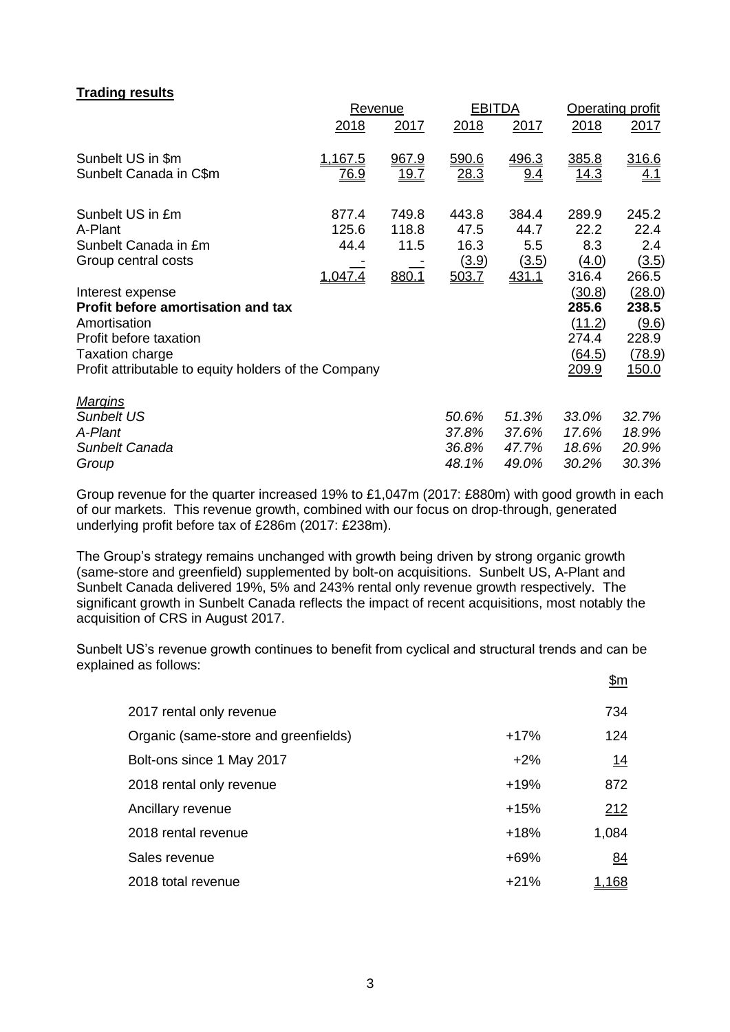# **Trading results**

|                                                      |             | <b>Revenue</b> | <b>EBITDA</b> |              | <b>Operating profit</b> |              |  |
|------------------------------------------------------|-------------|----------------|---------------|--------------|-------------------------|--------------|--|
|                                                      | 2018        | 2017           | 2018          | 2017         | 2018                    | 2017         |  |
| Sunbelt US in \$m                                    | 1,167.5     | 967.9          | 590.6         | 496.3        | 385.8                   | 316.6        |  |
| Sunbelt Canada in C\$m                               | <u>76.9</u> | 19.7           | 28.3          | 9.4          | <u> 14.3</u>            | <u>4.1</u>   |  |
| Sunbelt US in £m                                     | 877.4       | 749.8          | 443.8         | 384.4        | 289.9                   | 245.2        |  |
| A-Plant                                              | 125.6       | 118.8          | 47.5          | 44.7         | 22.2                    | 22.4         |  |
| Sunbelt Canada in £m                                 | 44.4        | 11.5           | 16.3          | 5.5          | 8.3                     | 2.4          |  |
| Group central costs                                  |             |                | (3.9)         | (3.5)        | (4.0)                   | (3.5)        |  |
|                                                      | 1,047.4     | 880.1          | 503.7         | <u>431.1</u> | 316.4                   | 266.5        |  |
| Interest expense                                     |             |                |               |              | <u>(30.8)</u>           | (28.0)       |  |
| Profit before amortisation and tax                   |             |                |               |              | 285.6                   | 238.5        |  |
| Amortisation                                         |             |                |               |              | (11.2)                  | (9.6)        |  |
| Profit before taxation                               |             |                |               |              | 274.4                   | 228.9        |  |
| Taxation charge                                      |             |                |               |              | (64.5)                  | (78.9)       |  |
| Profit attributable to equity holders of the Company |             |                |               |              | <u> 209.9</u>           | <u>150.0</u> |  |
| <b>Margins</b>                                       |             |                |               |              |                         |              |  |
| <b>Sunbelt US</b>                                    |             |                | 50.6%         | 51.3%        | 33.0%                   | 32.7%        |  |
| A-Plant                                              |             |                | 37.8%         | 37.6%        | 17.6%                   | 18.9%        |  |
| Sunbelt Canada                                       |             |                | 36.8%         | 47.7%        | 18.6%                   | 20.9%        |  |
| Group                                                |             |                | 48.1%         | 49.0%        | 30.2%                   | 30.3%        |  |

Group revenue for the quarter increased 19% to £1,047m (2017: £880m) with good growth in each of our markets. This revenue growth, combined with our focus on drop-through, generated underlying profit before tax of £286m (2017: £238m).

The Group's strategy remains unchanged with growth being driven by strong organic growth (same-store and greenfield) supplemented by bolt-on acquisitions. Sunbelt US, A-Plant and Sunbelt Canada delivered 19%, 5% and 243% rental only revenue growth respectively. The significant growth in Sunbelt Canada reflects the impact of recent acquisitions, most notably the acquisition of CRS in August 2017.

Sunbelt US's revenue growth continues to benefit from cyclical and structural trends and can be explained as follows:

\$m

| 2017 rental only revenue             |        | 734       |
|--------------------------------------|--------|-----------|
| Organic (same-store and greenfields) | $+17%$ | 124       |
| Bolt-ons since 1 May 2017            | $+2%$  | <u>14</u> |
| 2018 rental only revenue             | $+19%$ | 872       |
| Ancillary revenue                    | $+15%$ | 212       |
| 2018 rental revenue                  | $+18%$ | 1,084     |
| Sales revenue                        | $+69%$ | 84        |
| 2018 total revenue                   | $+21%$ | 68        |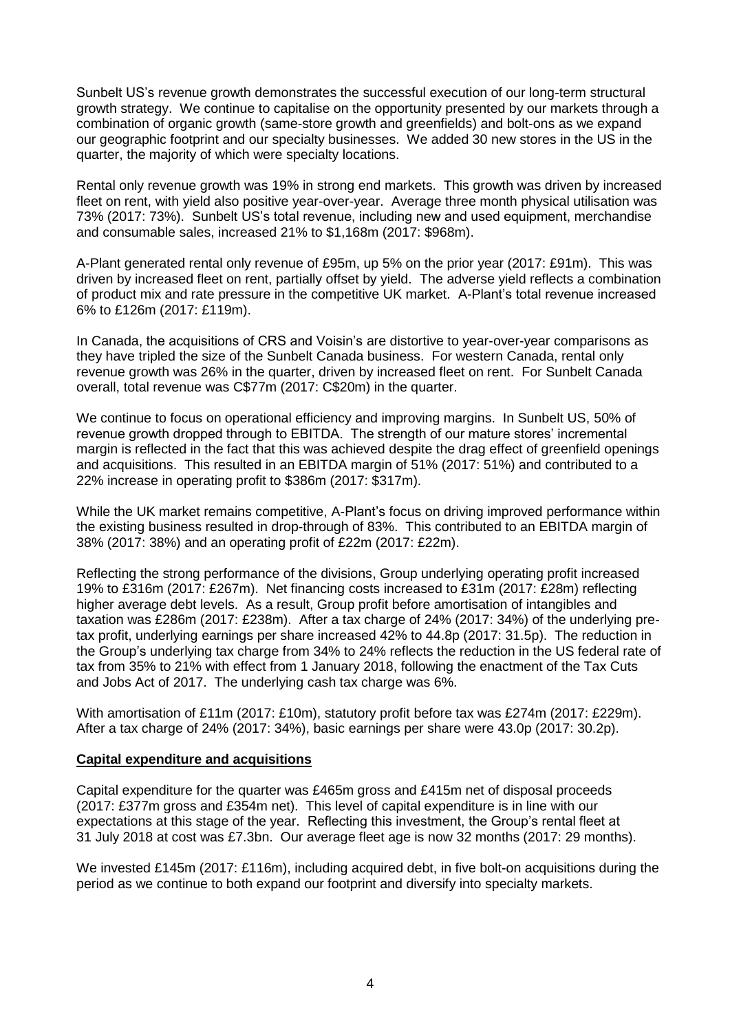Sunbelt US's revenue growth demonstrates the successful execution of our long-term structural growth strategy. We continue to capitalise on the opportunity presented by our markets through a combination of organic growth (same-store growth and greenfields) and bolt-ons as we expand our geographic footprint and our specialty businesses. We added 30 new stores in the US in the quarter, the majority of which were specialty locations.

Rental only revenue growth was 19% in strong end markets. This growth was driven by increased fleet on rent, with yield also positive year-over-year. Average three month physical utilisation was 73% (2017: 73%). Sunbelt US's total revenue, including new and used equipment, merchandise and consumable sales, increased 21% to \$1,168m (2017: \$968m).

A-Plant generated rental only revenue of £95m, up 5% on the prior year (2017: £91m). This was driven by increased fleet on rent, partially offset by yield. The adverse yield reflects a combination of product mix and rate pressure in the competitive UK market. A-Plant's total revenue increased 6% to £126m (2017: £119m).

In Canada, the acquisitions of CRS and Voisin's are distortive to year-over-year comparisons as they have tripled the size of the Sunbelt Canada business. For western Canada, rental only revenue growth was 26% in the quarter, driven by increased fleet on rent. For Sunbelt Canada overall, total revenue was C\$77m (2017: C\$20m) in the quarter.

We continue to focus on operational efficiency and improving margins. In Sunbelt US, 50% of revenue growth dropped through to EBITDA. The strength of our mature stores' incremental margin is reflected in the fact that this was achieved despite the drag effect of greenfield openings and acquisitions. This resulted in an EBITDA margin of 51% (2017: 51%) and contributed to a 22% increase in operating profit to \$386m (2017: \$317m).

While the UK market remains competitive, A-Plant's focus on driving improved performance within the existing business resulted in drop-through of 83%. This contributed to an EBITDA margin of 38% (2017: 38%) and an operating profit of £22m (2017: £22m).

Reflecting the strong performance of the divisions, Group underlying operating profit increased 19% to £316m (2017: £267m). Net financing costs increased to £31m (2017: £28m) reflecting higher average debt levels. As a result, Group profit before amortisation of intangibles and taxation was £286m (2017: £238m). After a tax charge of 24% (2017: 34%) of the underlying pretax profit, underlying earnings per share increased 42% to 44.8p (2017: 31.5p). The reduction in the Group's underlying tax charge from 34% to 24% reflects the reduction in the US federal rate of tax from 35% to 21% with effect from 1 January 2018, following the enactment of the Tax Cuts and Jobs Act of 2017. The underlying cash tax charge was 6%.

With amortisation of £11m (2017: £10m), statutory profit before tax was £274m (2017: £229m). After a tax charge of 24% (2017: 34%), basic earnings per share were 43.0p (2017: 30.2p).

#### **Capital expenditure and acquisitions**

Capital expenditure for the quarter was £465m gross and £415m net of disposal proceeds (2017: £377m gross and £354m net). This level of capital expenditure is in line with our expectations at this stage of the year. Reflecting this investment, the Group's rental fleet at 31 July 2018 at cost was £7.3bn. Our average fleet age is now 32 months (2017: 29 months).

We invested £145m (2017: £116m), including acquired debt, in five bolt-on acquisitions during the period as we continue to both expand our footprint and diversify into specialty markets.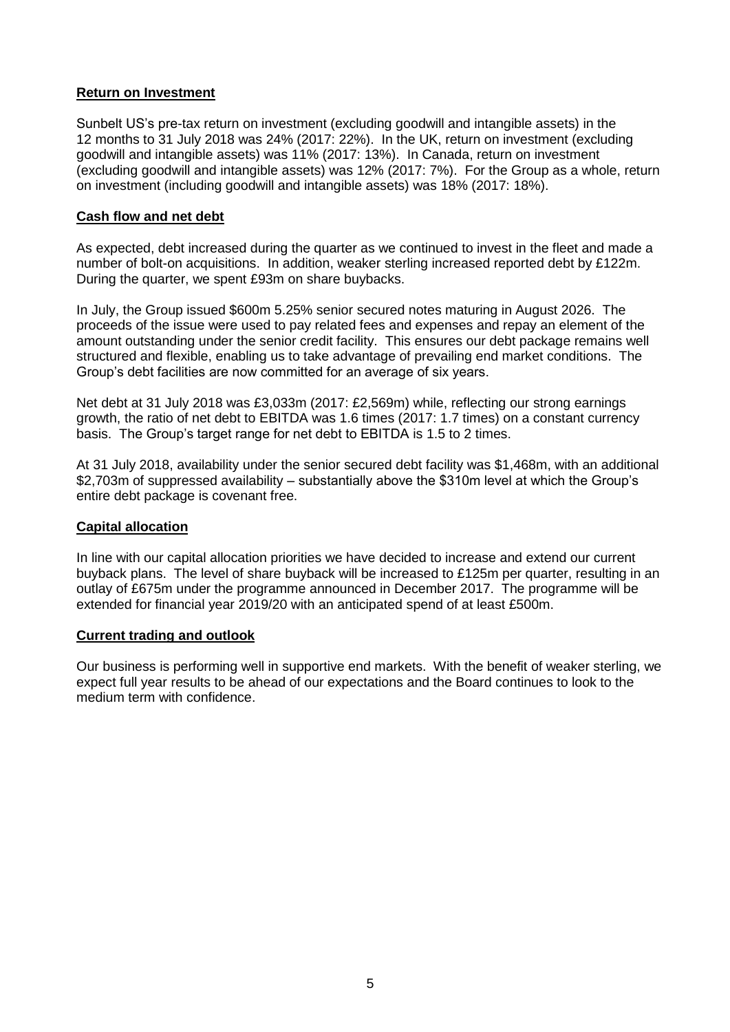## **Return on Investment**

Sunbelt US's pre-tax return on investment (excluding goodwill and intangible assets) in the 12 months to 31 July 2018 was 24% (2017: 22%). In the UK, return on investment (excluding goodwill and intangible assets) was 11% (2017: 13%). In Canada, return on investment (excluding goodwill and intangible assets) was 12% (2017: 7%). For the Group as a whole, return on investment (including goodwill and intangible assets) was 18% (2017: 18%).

### **Cash flow and net debt**

As expected, debt increased during the quarter as we continued to invest in the fleet and made a number of bolt-on acquisitions. In addition, weaker sterling increased reported debt by £122m. During the quarter, we spent £93m on share buybacks.

In July, the Group issued \$600m 5.25% senior secured notes maturing in August 2026. The proceeds of the issue were used to pay related fees and expenses and repay an element of the amount outstanding under the senior credit facility. This ensures our debt package remains well structured and flexible, enabling us to take advantage of prevailing end market conditions. The Group's debt facilities are now committed for an average of six years.

Net debt at 31 July 2018 was £3,033m (2017: £2,569m) while, reflecting our strong earnings growth, the ratio of net debt to EBITDA was 1.6 times (2017: 1.7 times) on a constant currency basis. The Group's target range for net debt to EBITDA is 1.5 to 2 times.

At 31 July 2018, availability under the senior secured debt facility was \$1,468m, with an additional \$2,703m of suppressed availability – substantially above the \$310m level at which the Group's entire debt package is covenant free.

#### **Capital allocation**

In line with our capital allocation priorities we have decided to increase and extend our current buyback plans. The level of share buyback will be increased to £125m per quarter, resulting in an outlay of £675m under the programme announced in December 2017. The programme will be extended for financial year 2019/20 with an anticipated spend of at least £500m.

#### **Current trading and outlook**

Our business is performing well in supportive end markets. With the benefit of weaker sterling, we expect full year results to be ahead of our expectations and the Board continues to look to the medium term with confidence.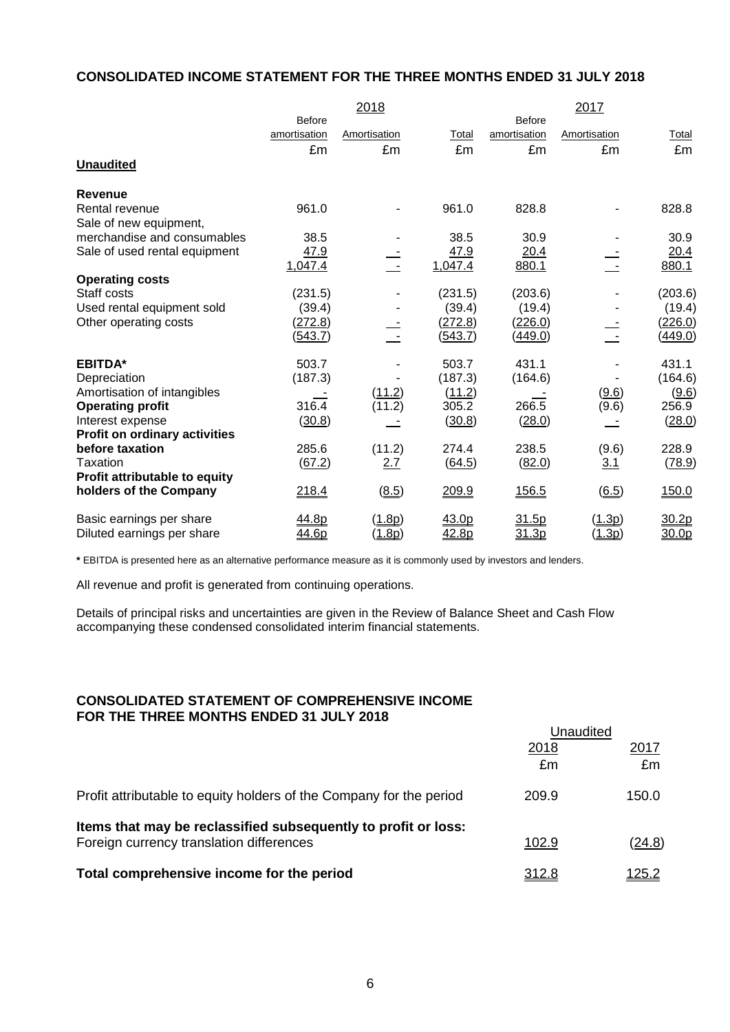# **CONSOLIDATED INCOME STATEMENT FOR THE THREE MONTHS ENDED 31 JULY 2018**

|                                          |                | 2018         |         |                | 2017         |                   |
|------------------------------------------|----------------|--------------|---------|----------------|--------------|-------------------|
|                                          | <b>Before</b>  |              |         | <b>Before</b>  |              |                   |
|                                          | amortisation   | Amortisation | Total   | amortisation   | Amortisation | Total             |
|                                          | £m             | £m           | £m      | £m             | £m           | £m                |
| <b>Unaudited</b>                         |                |              |         |                |              |                   |
| <b>Revenue</b>                           |                |              |         |                |              |                   |
| Rental revenue<br>Sale of new equipment, | 961.0          |              | 961.0   | 828.8          |              | 828.8             |
| merchandise and consumables              | 38.5           |              | 38.5    | 30.9           |              | 30.9              |
| Sale of used rental equipment            | 47.9           |              | 47.9    | 20.4           |              | 20.4              |
|                                          | 1,047.4        |              | 1,047.4 | 880.1          |              | 880.1             |
| <b>Operating costs</b><br>Staff costs    | (231.5)        |              | (231.5) | (203.6)        |              | (203.6)           |
| Used rental equipment sold               | (39.4)         |              | (39.4)  | (19.4)         |              | (19.4)            |
| Other operating costs                    | (272.8)        |              | (272.8) | (226.0)        |              | (226.0)           |
|                                          | <u>(543.7)</u> |              | (543.7) | <u>(449.0)</u> |              | <u>(449.0)</u>    |
| <b>EBITDA*</b>                           | 503.7          |              | 503.7   | 431.1          |              | 431.1             |
| Depreciation                             | (187.3)        |              | (187.3) | (164.6)        |              | (164.6)           |
| Amortisation of intangibles              |                | (11.2)       | (11.2)  |                | (9.6)        | (9.6)             |
| <b>Operating profit</b>                  | 316.4          | (11.2)       | 305.2   | 266.5          | (9.6)        | 256.9             |
| Interest expense                         | (30.8)         |              | (30.8)  | (28.0)         |              | (28.0)            |
| <b>Profit on ordinary activities</b>     |                |              |         |                |              |                   |
| before taxation                          | 285.6          | (11.2)       | 274.4   | 238.5          | (9.6)        | 228.9             |
| Taxation                                 | (67.2)         | 2.7          | (64.5)  | (82.0)         | <u>3.1</u>   | (78.9)            |
| Profit attributable to equity            |                |              |         |                |              |                   |
| holders of the Company                   | 218.4          | (8.5)        | 209.9   | 156.5          | (6.5)        | 150.0             |
| Basic earnings per share                 | 44.8p          | (1.8p)       | 43.0p   | 31.5p          | (1.3p)       | 30.2p             |
| Diluted earnings per share               | <u>44.6p</u>   | (1.8p)       | 42.8p   | 31.3p          | (1.3p)       | 30.0 <sub>p</sub> |

**\*** EBITDA is presented here as an alternative performance measure as it is commonly used by investors and lenders.

All revenue and profit is generated from continuing operations.

Details of principal risks and uncertainties are given in the Review of Balance Sheet and Cash Flow accompanying these condensed consolidated interim financial statements.

# **CONSOLIDATED STATEMENT OF COMPREHENSIVE INCOME FOR THE THREE MONTHS ENDED 31 JULY 2018**

|                                                                                                            | Unaudited    |               |  |
|------------------------------------------------------------------------------------------------------------|--------------|---------------|--|
|                                                                                                            | 2018<br>£m   | 2017<br>£m    |  |
| Profit attributable to equity holders of the Company for the period                                        | 209.9        | 150.0         |  |
| Items that may be reclassified subsequently to profit or loss:<br>Foreign currency translation differences | 102.9        | <u>(24.8)</u> |  |
| Total comprehensive income for the period                                                                  | <u>312.8</u> | <u> 125.2</u> |  |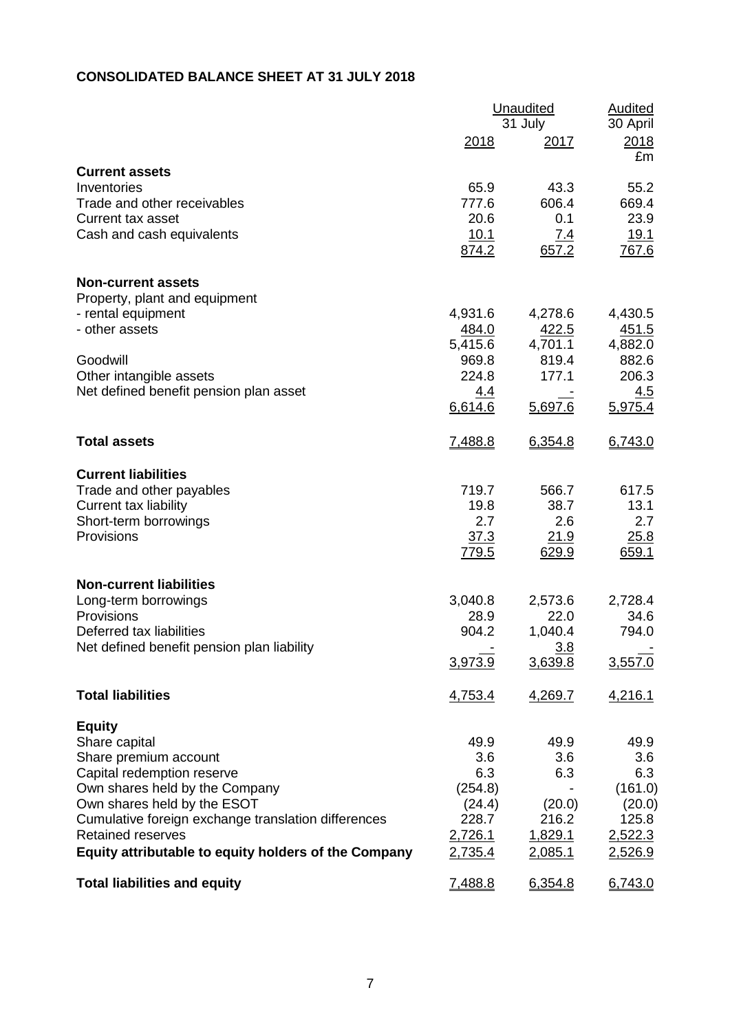# **CONSOLIDATED BALANCE SHEET AT 31 JULY 2018**

|                                                         |                  | Unaudited<br>31 July |                        |  |
|---------------------------------------------------------|------------------|----------------------|------------------------|--|
|                                                         | 2018             | 2017                 | 30 April<br>2018<br>£m |  |
| <b>Current assets</b>                                   |                  |                      |                        |  |
| Inventories                                             | 65.9             | 43.3                 | 55.2                   |  |
| Trade and other receivables<br><b>Current tax asset</b> | 777.6<br>20.6    | 606.4<br>0.1         | 669.4<br>23.9          |  |
| Cash and cash equivalents                               | 10.1             | 7.4                  | <u>19.1</u>            |  |
|                                                         | 874.2            | 657.2                | 767.6                  |  |
| <b>Non-current assets</b>                               |                  |                      |                        |  |
| Property, plant and equipment                           |                  |                      |                        |  |
| - rental equipment                                      | 4,931.6          | 4,278.6              | 4,430.5                |  |
| - other assets                                          | 484.0            | 422.5                | 451.5                  |  |
| Goodwill                                                | 5,415.6<br>969.8 | 4,701.1<br>819.4     | 4,882.0<br>882.6       |  |
| Other intangible assets                                 | 224.8            | 177.1                | 206.3                  |  |
| Net defined benefit pension plan asset                  | <u>4.4</u>       |                      | 4.5                    |  |
|                                                         | 6,614.6          | 5,697.6              | 5,975.4                |  |
| <b>Total assets</b>                                     | 7,488.8          | 6,354.8              | 6,743.0                |  |
| <b>Current liabilities</b>                              |                  |                      |                        |  |
| Trade and other payables                                | 719.7            | 566.7                | 617.5                  |  |
| Current tax liability                                   | 19.8             | 38.7                 | 13.1                   |  |
| Short-term borrowings                                   | 2.7              | 2.6                  | 2.7                    |  |
| Provisions                                              | 37.3<br>779.5    | 21.9<br>629.9        | 25.8<br>659.1          |  |
| <b>Non-current liabilities</b>                          |                  |                      |                        |  |
| Long-term borrowings                                    | 3,040.8          | 2,573.6              | 2,728.4                |  |
| Provisions                                              | 28.9             | 22.0                 | 34.6                   |  |
| Deferred tax liabilities                                | 904.2            | 1,040.4              | 794.0                  |  |
| Net defined benefit pension plan liability              |                  | 3.8                  |                        |  |
|                                                         | 3,973.9          | 3,639.8              | 3,557.0                |  |
| <b>Total liabilities</b>                                | 4,753.4          | 4,269.7              | 4,216.1                |  |
| <b>Equity</b>                                           |                  |                      |                        |  |
| Share capital                                           | 49.9             | 49.9                 | 49.9                   |  |
| Share premium account<br>Capital redemption reserve     | 3.6<br>6.3       | 3.6<br>6.3           | 3.6<br>6.3             |  |
| Own shares held by the Company                          | (254.8)          |                      | (161.0)                |  |
| Own shares held by the ESOT                             | (24.4)           | (20.0)               | (20.0)                 |  |
| Cumulative foreign exchange translation differences     | 228.7            | 216.2                | 125.8                  |  |
| <b>Retained reserves</b>                                | 2,726.1          | 1,829.1              | 2,522.3                |  |
| Equity attributable to equity holders of the Company    | 2,735.4          | 2,085.1              | 2,526.9                |  |
| <b>Total liabilities and equity</b>                     | 7,488.8          | 6,354.8              | 6,743.0                |  |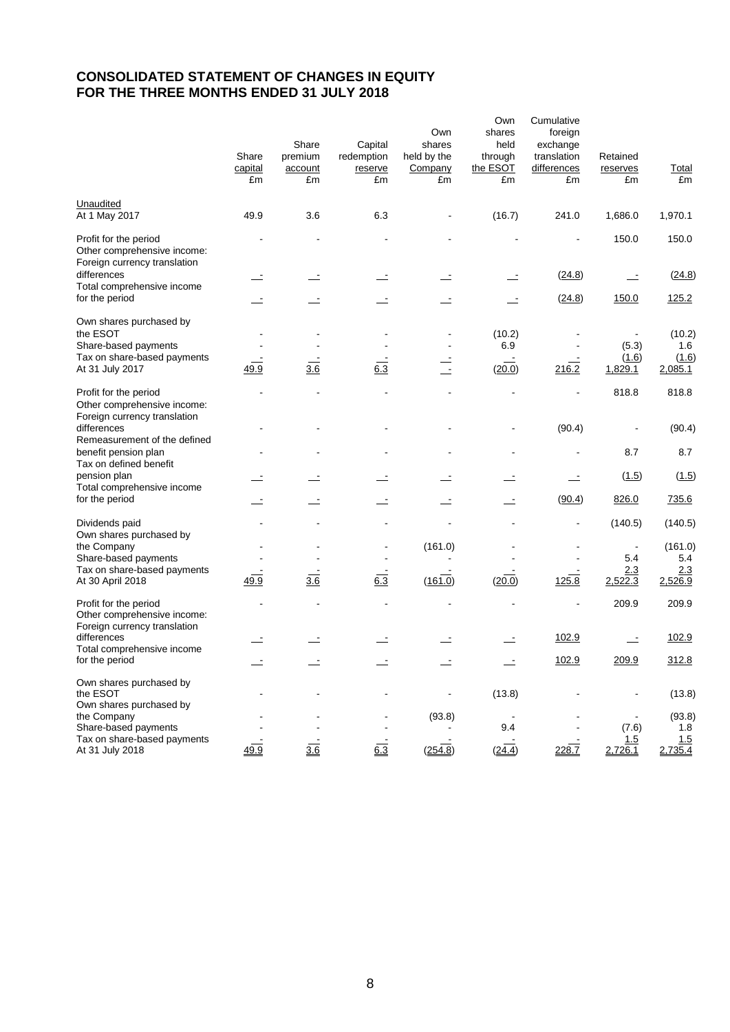# **CONSOLIDATED STATEMENT OF CHANGES IN EQUITY FOR THE THREE MONTHS ENDED 31 JULY 2018**

|                                                                                      | Share<br>capital<br>£m   | Share<br>premium<br>account<br>£m | Capital<br>redemption<br>reserve<br>£m | Own<br>shares<br>held by the<br>Company<br>£m | Own<br>shares<br>held<br>through<br>the ESOT<br>£m | Cumulative<br>foreign<br>exchange<br>translation<br>differences<br>£m | Retained<br>reserves<br>£m | <b>Total</b><br>£m |
|--------------------------------------------------------------------------------------|--------------------------|-----------------------------------|----------------------------------------|-----------------------------------------------|----------------------------------------------------|-----------------------------------------------------------------------|----------------------------|--------------------|
| Unaudited<br>At 1 May 2017                                                           | 49.9                     | 3.6                               | 6.3                                    |                                               | (16.7)                                             | 241.0                                                                 | 1,686.0                    | 1,970.1            |
| Profit for the period<br>Other comprehensive income:<br>Foreign currency translation |                          |                                   |                                        |                                               |                                                    |                                                                       | 150.0                      | 150.0              |
| differences<br>Total comprehensive income                                            | $\equiv$                 |                                   | $\equiv$                               |                                               |                                                    | (24.8)                                                                | $\mathbf{r}$               | (24.8)             |
| for the period                                                                       | $\mathbf{r}$             |                                   | $\equiv$                               | $\equiv$                                      | $\overline{\phantom{a}}$                           | (24.8)                                                                | 150.0                      | 125.2              |
| Own shares purchased by<br>the ESOT                                                  | $\overline{a}$           |                                   |                                        |                                               | (10.2)                                             |                                                                       |                            | (10.2)             |
| Share-based payments                                                                 |                          |                                   |                                        |                                               | 6.9                                                |                                                                       | (5.3)                      | 1.6                |
| Tax on share-based payments<br>At 31 July 2017                                       | 49.9                     | 3.6                               | 6.3                                    | $\overline{a}$                                | (20.0)                                             | 216.2                                                                 | (1.6)<br>1,829.1           | (1.6)<br>2,085.1   |
| Profit for the period<br>Other comprehensive income:                                 |                          |                                   |                                        |                                               |                                                    |                                                                       | 818.8                      | 818.8              |
| Foreign currency translation<br>differences                                          |                          |                                   |                                        |                                               |                                                    | (90.4)                                                                |                            | (90.4)             |
| Remeasurement of the defined<br>benefit pension plan<br>Tax on defined benefit       |                          |                                   |                                        |                                               |                                                    |                                                                       | 8.7                        | 8.7                |
| pension plan<br>Total comprehensive income                                           |                          |                                   |                                        |                                               |                                                    |                                                                       | (1.5)                      | (1.5)              |
| for the period                                                                       |                          |                                   |                                        |                                               |                                                    | (90.4)                                                                | 826.0                      | 735.6              |
| Dividends paid<br>Own shares purchased by                                            |                          |                                   |                                        |                                               |                                                    |                                                                       | (140.5)                    | (140.5)            |
| the Company                                                                          |                          |                                   |                                        | (161.0)                                       |                                                    |                                                                       |                            | (161.0)            |
| Share-based payments<br>Tax on share-based payments                                  | $\overline{\phantom{a}}$ |                                   |                                        |                                               |                                                    |                                                                       | 5.4<br>2.3                 | 5.4<br>2.3         |
| At 30 April 2018                                                                     | 49.9                     | 3.6                               | 6.3                                    | (161.0)                                       | (20.0)                                             | 125.8                                                                 | 2,522.3                    | 2,526.9            |
| Profit for the period<br>Other comprehensive income:<br>Foreign currency translation |                          |                                   |                                        |                                               |                                                    |                                                                       | 209.9                      | 209.9              |
| differences                                                                          |                          |                                   |                                        |                                               |                                                    | 102.9                                                                 |                            | 102.9              |
| Total comprehensive income<br>for the period                                         |                          |                                   |                                        |                                               |                                                    | 102.9                                                                 | 209.9                      | 312.8              |
| Own shares purchased by<br>the ESOT<br>Own shares purchased by                       |                          |                                   |                                        |                                               | (13.8)                                             |                                                                       |                            | (13.8)             |
| the Company                                                                          |                          |                                   |                                        | (93.8)                                        |                                                    |                                                                       |                            | (93.8)             |
| Share-based payments<br>Tax on share-based payments                                  |                          |                                   |                                        |                                               | 9.4                                                |                                                                       | (7.6)<br>1.5               | 1.8<br>1.5         |
| At 31 July 2018                                                                      | 49.9                     | $\frac{1}{3.6}$                   | $6.\overline{3}$                       | (254.8)                                       | (24.4)                                             | 228.7                                                                 | 2,726.1                    | 2,735.4            |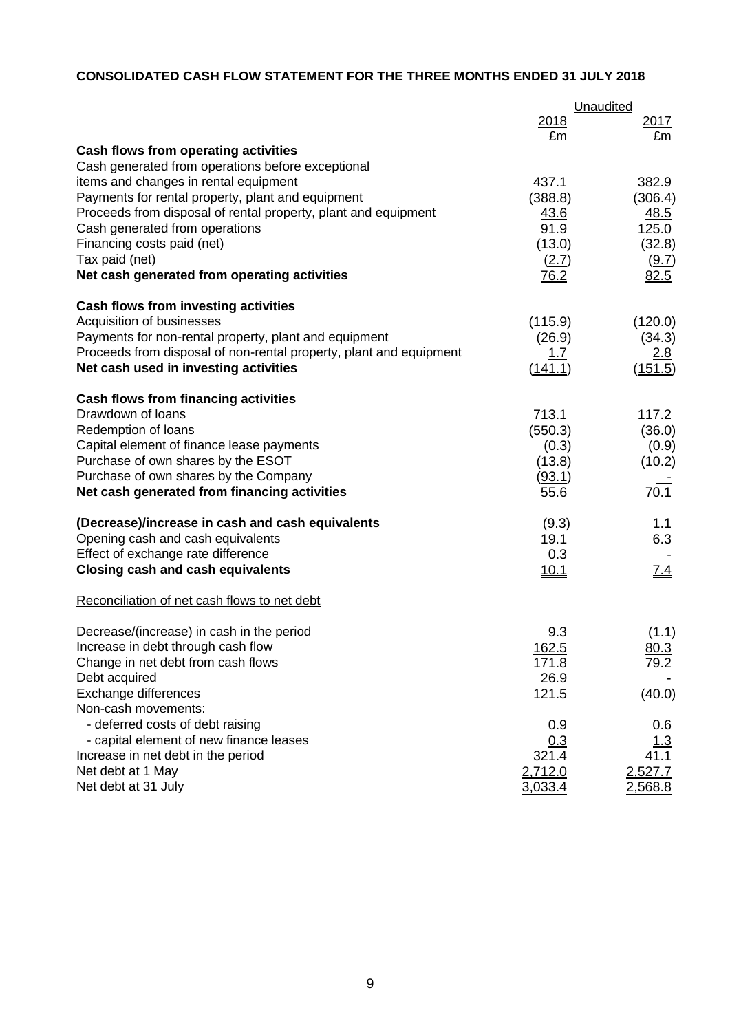# **CONSOLIDATED CASH FLOW STATEMENT FOR THE THREE MONTHS ENDED 31 JULY 2018**

|                                                                    |             | Unaudited        |
|--------------------------------------------------------------------|-------------|------------------|
|                                                                    | 2018        | 2017             |
|                                                                    | £m          | £m               |
| Cash flows from operating activities                               |             |                  |
| Cash generated from operations before exceptional                  |             |                  |
| items and changes in rental equipment                              | 437.1       | 382.9            |
| Payments for rental property, plant and equipment                  | (388.8)     | (306.4)          |
| Proceeds from disposal of rental property, plant and equipment     | <u>43.6</u> | <u>48.5</u>      |
| Cash generated from operations                                     | 91.9        | 125.0            |
| Financing costs paid (net)                                         | (13.0)      | (32.8)           |
| Tax paid (net)                                                     | (2.7)       | (9.7)            |
| Net cash generated from operating activities                       | 76.2        | 82.5             |
| Cash flows from investing activities                               |             |                  |
| Acquisition of businesses                                          | (115.9)     | (120.0)          |
| Payments for non-rental property, plant and equipment              | (26.9)      | (34.3)           |
| Proceeds from disposal of non-rental property, plant and equipment | <u>1.7</u>  | <u>2.8</u>       |
| Net cash used in investing activities                              | (141.1)     | (151.5)          |
| <b>Cash flows from financing activities</b>                        |             |                  |
| Drawdown of loans                                                  | 713.1       | 117.2            |
| Redemption of loans                                                | (550.3)     | (36.0)           |
| Capital element of finance lease payments                          | (0.3)       | (0.9)            |
| Purchase of own shares by the ESOT                                 | (13.8)      | (10.2)           |
| Purchase of own shares by the Company                              | (93.1)      |                  |
| Net cash generated from financing activities                       | 55.6        | 70.1             |
| (Decrease)/increase in cash and cash equivalents                   | (9.3)       | 1.1              |
| Opening cash and cash equivalents                                  | 19.1        | 6.3              |
| Effect of exchange rate difference                                 | 0.3         |                  |
| <b>Closing cash and cash equivalents</b>                           | 10.1        | $\overline{7.4}$ |
| Reconciliation of net cash flows to net debt                       |             |                  |
| Decrease/(increase) in cash in the period                          | 9.3         | (1.1)            |
| Increase in debt through cash flow                                 | 162.5       | 80.3             |
| Change in net debt from cash flows                                 | 171.8       | 79.2             |
| Debt acquired                                                      | 26.9        |                  |
| Exchange differences                                               | 121.5       | (40.0)           |
| Non-cash movements:                                                |             |                  |
| - deferred costs of debt raising                                   | 0.9         | 0.6              |
| - capital element of new finance leases                            | 0.3         | <u> 1.3</u>      |
| Increase in net debt in the period                                 | 321.4       | 41.1             |
| Net debt at 1 May                                                  | 2,712.0     | 2,527.7          |
| Net debt at 31 July                                                | 3.033.4     | 2,568.8          |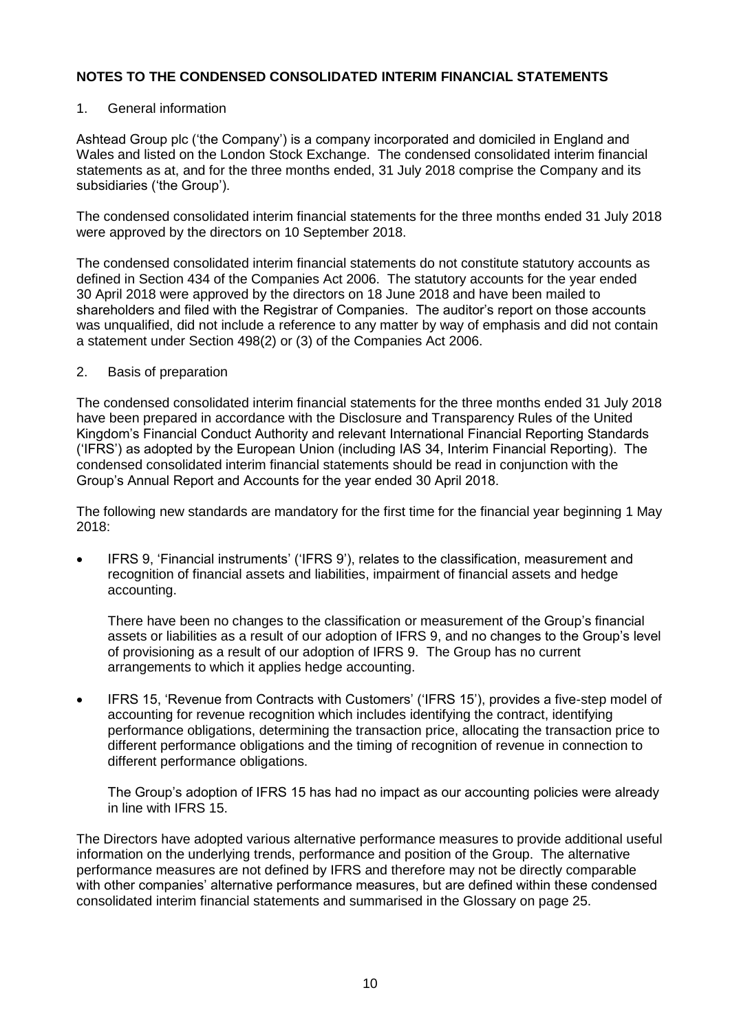### 1. General information

Ashtead Group plc ('the Company') is a company incorporated and domiciled in England and Wales and listed on the London Stock Exchange. The condensed consolidated interim financial statements as at, and for the three months ended, 31 July 2018 comprise the Company and its subsidiaries ('the Group').

The condensed consolidated interim financial statements for the three months ended 31 July 2018 were approved by the directors on 10 September 2018.

The condensed consolidated interim financial statements do not constitute statutory accounts as defined in Section 434 of the Companies Act 2006. The statutory accounts for the year ended 30 April 2018 were approved by the directors on 18 June 2018 and have been mailed to shareholders and filed with the Registrar of Companies. The auditor's report on those accounts was unqualified, did not include a reference to any matter by way of emphasis and did not contain a statement under Section 498(2) or (3) of the Companies Act 2006.

### 2. Basis of preparation

The condensed consolidated interim financial statements for the three months ended 31 July 2018 have been prepared in accordance with the Disclosure and Transparency Rules of the United Kingdom's Financial Conduct Authority and relevant International Financial Reporting Standards ('IFRS') as adopted by the European Union (including IAS 34, Interim Financial Reporting). The condensed consolidated interim financial statements should be read in conjunction with the Group's Annual Report and Accounts for the year ended 30 April 2018.

The following new standards are mandatory for the first time for the financial year beginning 1 May 2018:

 IFRS 9, 'Financial instruments' ('IFRS 9'), relates to the classification, measurement and recognition of financial assets and liabilities, impairment of financial assets and hedge accounting.

There have been no changes to the classification or measurement of the Group's financial assets or liabilities as a result of our adoption of IFRS 9, and no changes to the Group's level of provisioning as a result of our adoption of IFRS 9. The Group has no current arrangements to which it applies hedge accounting.

• IFRS 15, 'Revenue from Contracts with Customers' ('IFRS 15'), provides a five-step model of accounting for revenue recognition which includes identifying the contract, identifying performance obligations, determining the transaction price, allocating the transaction price to different performance obligations and the timing of recognition of revenue in connection to different performance obligations.

The Group's adoption of IFRS 15 has had no impact as our accounting policies were already in line with IFRS 15.

The Directors have adopted various alternative performance measures to provide additional useful information on the underlying trends, performance and position of the Group. The alternative performance measures are not defined by IFRS and therefore may not be directly comparable with other companies' alternative performance measures, but are defined within these condensed consolidated interim financial statements and summarised in the Glossary on page 25.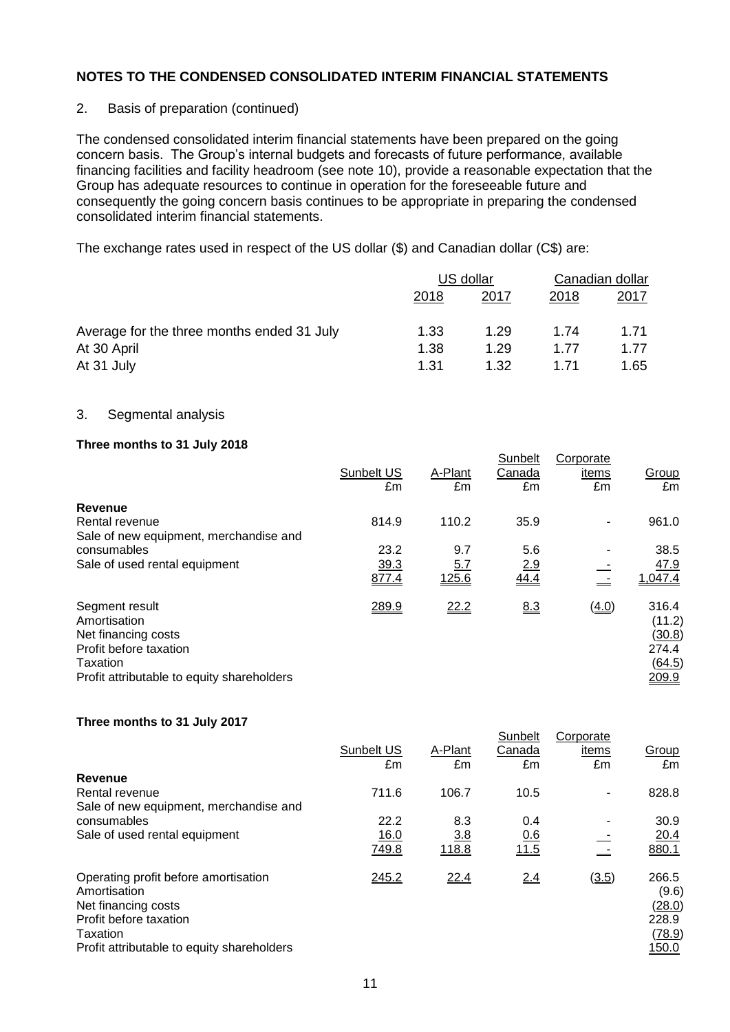### 2. Basis of preparation (continued)

The condensed consolidated interim financial statements have been prepared on the going concern basis. The Group's internal budgets and forecasts of future performance, available financing facilities and facility headroom (see note 10), provide a reasonable expectation that the Group has adequate resources to continue in operation for the foreseeable future and consequently the going concern basis continues to be appropriate in preparing the condensed consolidated interim financial statements.

The exchange rates used in respect of the US dollar (\$) and Canadian dollar (C\$) are:

|                                            | US dollar |      | Canadian dollar |              |
|--------------------------------------------|-----------|------|-----------------|--------------|
|                                            | 2018      | 2017 | 2018            | <u> 2017</u> |
| Average for the three months ended 31 July | 1.33      | 1.29 | 1.74            | 1.71         |
| At 30 April                                | 1.38      | 1.29 | 1.77            | 1.77         |
| At 31 July                                 | 1.31      | 1.32 | 1.71            | 1.65         |

### 3. Segmental analysis

### **Three months to 31 July 2018**

|                                                                                                                                           |                  |                     | Sunbelt      | Corporate   |                                                       |
|-------------------------------------------------------------------------------------------------------------------------------------------|------------------|---------------------|--------------|-------------|-------------------------------------------------------|
|                                                                                                                                           | Sunbelt US<br>£m | A-Plant<br>£m       | Canada<br>£m | items<br>£m | Group<br>£m                                           |
| Revenue                                                                                                                                   |                  |                     |              |             |                                                       |
| Rental revenue<br>Sale of new equipment, merchandise and                                                                                  | 814.9            | 110.2               | 35.9         | ٠           | 961.0                                                 |
| consumables                                                                                                                               | 23.2             | 9.7                 | 5.6          |             | 38.5                                                  |
| Sale of used rental equipment                                                                                                             | 39.3<br>877.4    | <u>5.7</u><br>125.6 | 2.9<br>44.4  |             | 47.9<br>1,047.4                                       |
| Segment result<br>Amortisation<br>Net financing costs<br>Profit before taxation<br>Taxation<br>Profit attributable to equity shareholders | 289.9            | 22.2                | 8.3          | (4.0)       | 316.4<br>(11.2)<br>(30.8)<br>274.4<br>(64.5)<br>209.9 |

#### **Three months to 31 July 2017**

|                                                                                                                                                                 | Sunbelt US<br>£m | A-Plant<br>£m | Sunbelt<br>Canada<br>£m | Corporate<br>items<br>£m | Group<br>£m                                                        |
|-----------------------------------------------------------------------------------------------------------------------------------------------------------------|------------------|---------------|-------------------------|--------------------------|--------------------------------------------------------------------|
| Revenue                                                                                                                                                         |                  |               |                         |                          |                                                                    |
| Rental revenue                                                                                                                                                  | 711.6            | 106.7         | 10.5                    |                          | 828.8                                                              |
| Sale of new equipment, merchandise and                                                                                                                          |                  |               |                         |                          |                                                                    |
| consumables                                                                                                                                                     | 22.2             | 8.3           | 0.4                     |                          | 30.9                                                               |
| Sale of used rental equipment                                                                                                                                   | 16.0             | 3.8           | 0.6                     |                          | 20.4                                                               |
|                                                                                                                                                                 | 749.8            | 118.8         | 11.5                    |                          | 880.1                                                              |
| Operating profit before amortisation<br>Amortisation<br>Net financing costs<br>Profit before taxation<br>Taxation<br>Profit attributable to equity shareholders | 245.2            | 22.4          | 2.4                     | (3.5)                    | 266.5<br>(9.6)<br><u>(28.0)</u><br>228.9<br><u>(78.9)</u><br>150.0 |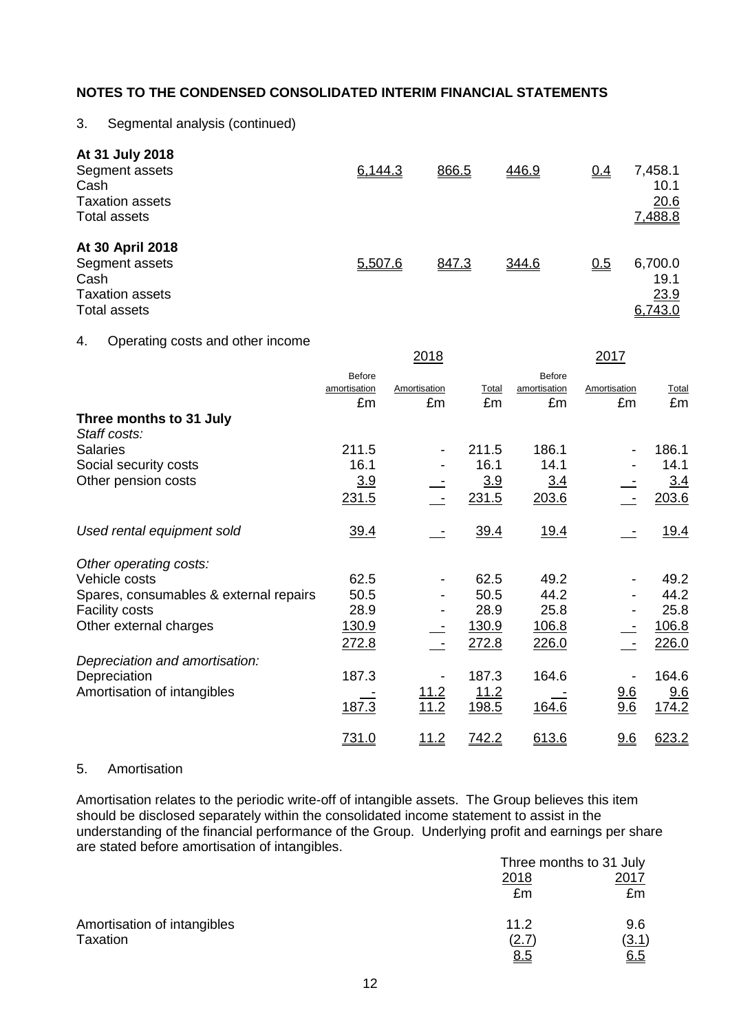# 3. Segmental analysis (continued)

| At 31 July 2018<br>Segment assets<br>Cash<br><b>Taxation assets</b><br>Total assets  | 6,144.3 | 866.5 | 446.9 | $Q_4$ | 7,458.1<br>10.1<br>20.6<br>7,488.8 |
|--------------------------------------------------------------------------------------|---------|-------|-------|-------|------------------------------------|
| At 30 April 2018<br>Segment assets<br>Cash<br><b>Taxation assets</b><br>Total assets | 5,507.6 | 847.3 | 344.6 | 0.5   | 6,700.0<br>19.1<br>23.9<br>6,743.0 |

#### 4. Operating costs and other income

|                                         |                                     | <u> 2018</u>                 |              |                                     | <u>2017</u>        |              |
|-----------------------------------------|-------------------------------------|------------------------------|--------------|-------------------------------------|--------------------|--------------|
|                                         | <b>Before</b><br>amortisation<br>£m | Amortisation<br>£m           | Total<br>£m  | <b>Before</b><br>amortisation<br>£m | Amortisation<br>£m | Total<br>£m  |
| Three months to 31 July<br>Staff costs: |                                     |                              |              |                                     |                    |              |
| <b>Salaries</b>                         | 211.5                               | $\qquad \qquad \blacksquare$ | 211.5        | 186.1                               |                    | 186.1        |
| Social security costs                   | 16.1                                |                              | 16.1         | 14.1                                |                    | 14.1         |
| Other pension costs                     | 3.9                                 |                              | 3.9          | 3.4                                 |                    | 3.4          |
|                                         | 231.5                               |                              | 231.5        | 203.6                               |                    | 203.6        |
| Used rental equipment sold              | 39.4                                |                              | 39.4         | <u>19.4</u>                         |                    | <u>19.4</u>  |
| Other operating costs:                  |                                     |                              |              |                                     |                    |              |
| Vehicle costs                           | 62.5                                |                              | 62.5         | 49.2                                |                    | 49.2         |
| Spares, consumables & external repairs  | 50.5                                |                              | 50.5         | 44.2                                |                    | 44.2         |
| <b>Facility costs</b>                   | 28.9                                |                              | 28.9         | 25.8                                |                    | 25.8         |
| Other external charges                  | 130.9                               |                              | 130.9        | <u>106.8</u>                        |                    | 106.8        |
|                                         | 272.8                               |                              | 272.8        | 226.0                               |                    | 226.0        |
| Depreciation and amortisation:          |                                     |                              |              |                                     |                    |              |
| Depreciation                            | 187.3                               |                              | 187.3        | 164.6                               |                    | 164.6        |
| Amortisation of intangibles             |                                     | <u>11.2</u>                  | <u>11.2</u>  |                                     | <u>9.6</u>         | 9.6          |
|                                         | 187.3                               | 11.2                         | 198.5        | 164.6                               | 9.6                | <u>174.2</u> |
|                                         | 731.0                               | <u> 11.2</u>                 | <u>742.2</u> | 613.6                               | 9.6                | 623.2        |

#### 5. Amortisation

Amortisation relates to the periodic write-off of intangible assets. The Group believes this item should be disclosed separately within the consolidated income statement to assist in the understanding of the financial performance of the Group. Underlying profit and earnings per share are stated before amortisation of intangibles.

|                             | Three months to 31 July |       |
|-----------------------------|-------------------------|-------|
|                             | 2018                    | 2017  |
|                             | £m                      | £m    |
| Amortisation of intangibles | 11.2                    | 9.6   |
| Taxation                    | <u>(2.7)</u>            | (3.1) |
|                             | 8.5                     | 6.5   |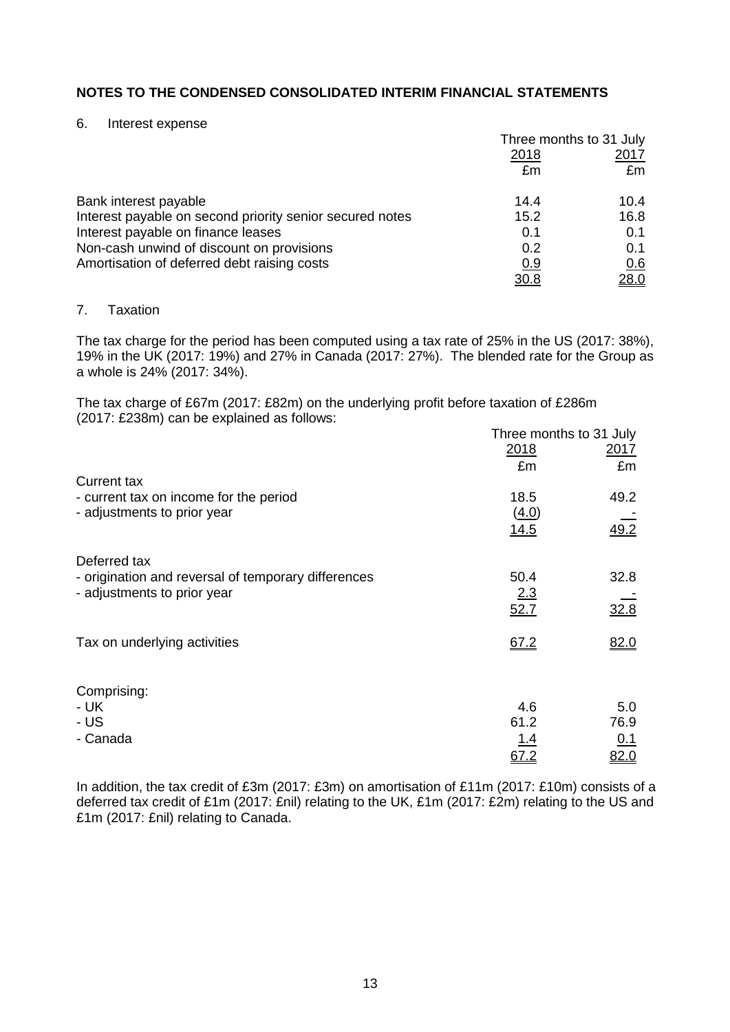#### 6. Interest expense

|                                                          | Three months to 31 July |               |
|----------------------------------------------------------|-------------------------|---------------|
|                                                          | 2018                    | <u> 2017 </u> |
|                                                          | £m                      | £m            |
| Bank interest payable                                    | 14.4                    | 10.4          |
| Interest payable on second priority senior secured notes | 15.2                    | 16.8          |
| Interest payable on finance leases                       | 0.1                     | 0.1           |
| Non-cash unwind of discount on provisions                | 0.2                     | 0.1           |
| Amortisation of deferred debt raising costs              | 0.9                     | 0.6           |
|                                                          | 30.8                    | 28.0          |

# 7. Taxation

The tax charge for the period has been computed using a tax rate of 25% in the US (2017: 38%), 19% in the UK (2017: 19%) and 27% in Canada (2017: 27%). The blended rate for the Group as a whole is 24% (2017: 34%).

The tax charge of £67m (2017: £82m) on the underlying profit before taxation of £286m (2017: £238m) can be explained as follows:

|                                                     | Three months to 31 July |                  |
|-----------------------------------------------------|-------------------------|------------------|
|                                                     | 2018                    | <u>2017</u>      |
|                                                     | £m                      | £m               |
| <b>Current tax</b>                                  |                         |                  |
| - current tax on income for the period              | 18.5                    | 49.2             |
| - adjustments to prior year                         | (4.0)                   |                  |
|                                                     | 14.5                    | $\frac{49.2}{ }$ |
| Deferred tax                                        |                         |                  |
| - origination and reversal of temporary differences | 50.4                    | 32.8             |
| - adjustments to prior year                         | 2.3                     |                  |
|                                                     | 52.7                    | 32.8             |
| Tax on underlying activities                        | 67.2                    | 82.0             |
|                                                     |                         |                  |
| Comprising:                                         |                         |                  |
| - UK                                                | 4.6                     | 5.0              |
| - US                                                | 61.2                    | 76.9             |
| - Canada                                            | <u> 1.4</u>             | 0.1              |
|                                                     | 67.2                    | 82.0             |

In addition, the tax credit of £3m (2017: £3m) on amortisation of £11m (2017: £10m) consists of a deferred tax credit of £1m (2017: £nil) relating to the UK, £1m (2017: £2m) relating to the US and £1m (2017: £nil) relating to Canada.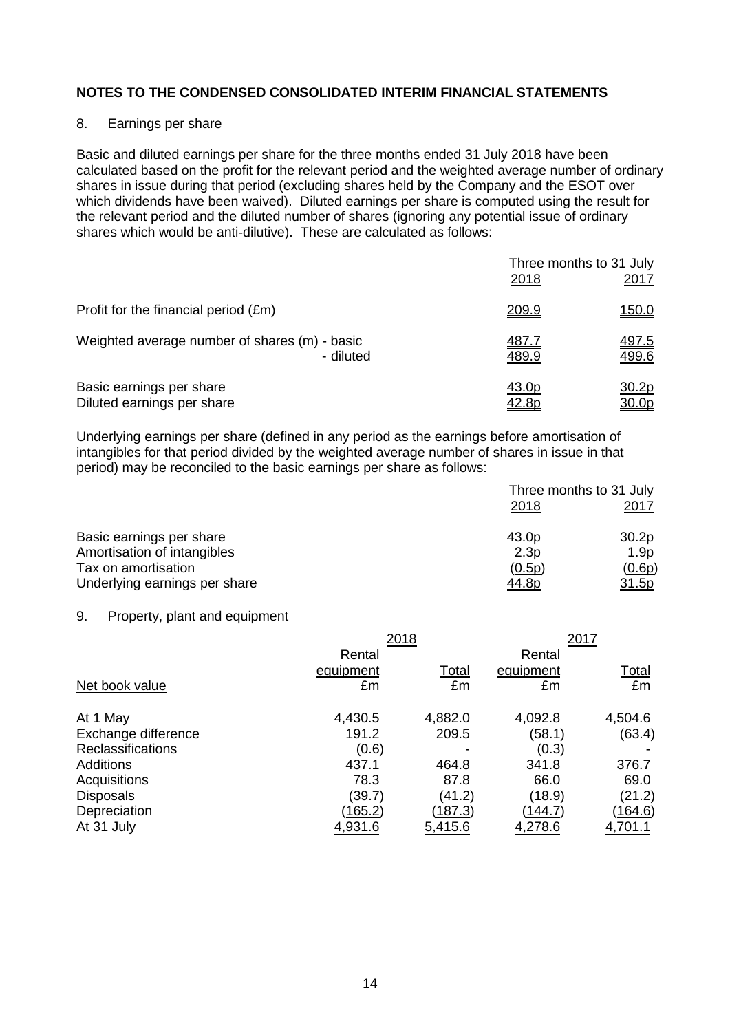### 8. Earnings per share

Basic and diluted earnings per share for the three months ended 31 July 2018 have been calculated based on the profit for the relevant period and the weighted average number of ordinary shares in issue during that period (excluding shares held by the Company and the ESOT over which dividends have been waived). Diluted earnings per share is computed using the result for the relevant period and the diluted number of shares (ignoring any potential issue of ordinary shares which would be anti-dilutive). These are calculated as follows:

|                                               | Three months to 31 July<br>2018 | 2017         |
|-----------------------------------------------|---------------------------------|--------------|
| Profit for the financial period (£m)          | <u>209.9</u>                    | <u>150.0</u> |
| Weighted average number of shares (m) - basic | <u>487.7</u>                    | <u>497.5</u> |
| - diluted                                     | 489.9                           | 499.6        |
| Basic earnings per share                      | 43.0p                           | <u>30.2p</u> |
| Diluted earnings per share                    | <u>42.8p</u>                    | <u>30.0p</u> |

Underlying earnings per share (defined in any period as the earnings before amortisation of intangibles for that period divided by the weighted average number of shares in issue in that period) may be reconciled to the basic earnings per share as follows:

|                                                      | Three months to 31 July<br><u>2018</u> |                                   |
|------------------------------------------------------|----------------------------------------|-----------------------------------|
| Basic earnings per share                             | 43.0p                                  | <u> 2017</u><br>30.2 <sub>p</sub> |
| Amortisation of intangibles                          | 2.3p                                   | 1.9 <sub>p</sub>                  |
| Tax on amortisation<br>Underlying earnings per share | (0.5p)<br><u>44.8p</u>                 | (0.6p)<br>31.5p                   |

#### 9. Property, plant and equipment

|                     |           | 2018    |           | 2017           |
|---------------------|-----------|---------|-----------|----------------|
|                     | Rental    |         | Rental    |                |
|                     | equipment | Total   | equipment | <u>Total</u>   |
| Net book value      | £m        | £m      | £m        | £m             |
| At 1 May            | 4,430.5   | 4,882.0 | 4,092.8   | 4,504.6        |
| Exchange difference | 191.2     | 209.5   | (58.1)    | (63.4)         |
| Reclassifications   | (0.6)     |         | (0.3)     |                |
| <b>Additions</b>    | 437.1     | 464.8   | 341.8     | 376.7          |
| Acquisitions        | 78.3      | 87.8    | 66.0      | 69.0           |
| <b>Disposals</b>    | (39.7)    | (41.2)  | (18.9)    | (21.2)         |
| Depreciation        | (165.2)   | (187.3) | (144.7)   | (164.6)        |
| At 31 July          | 4,931.6   | 5,415.6 | 4,278.6   | <u>4,701.1</u> |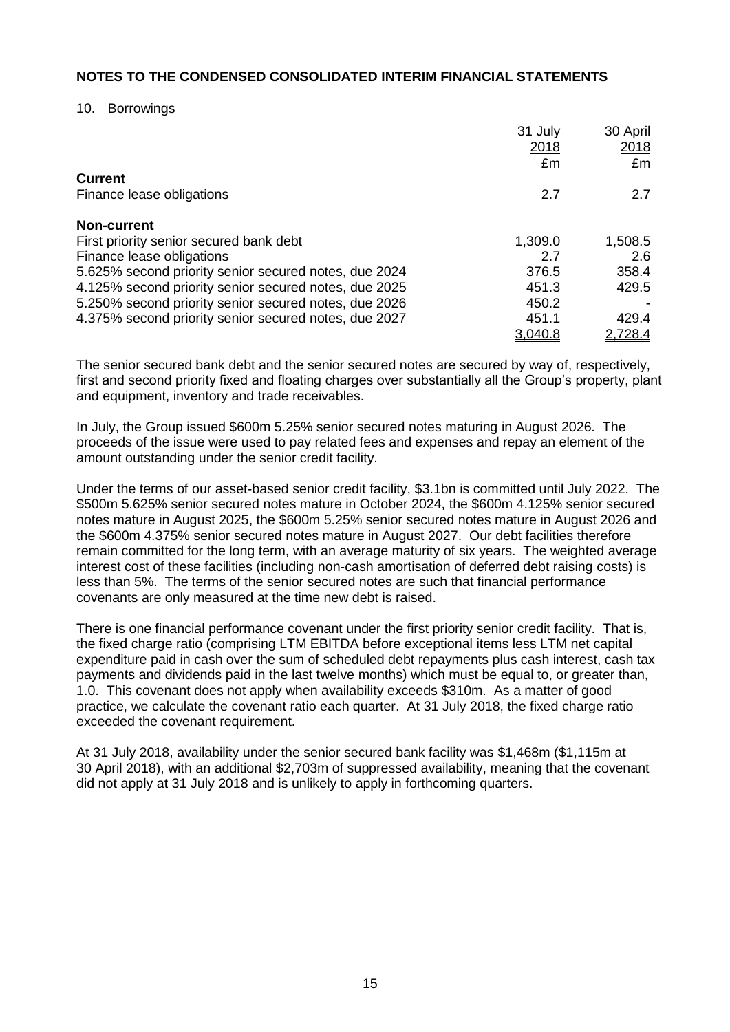#### 10. Borrowings

|                                                       | 31 July<br>2018 | 30 April<br>2018 |
|-------------------------------------------------------|-----------------|------------------|
|                                                       | £m              | £m               |
| <b>Current</b>                                        |                 |                  |
| Finance lease obligations                             | <u>2.7</u>      | 2.7              |
| <b>Non-current</b>                                    |                 |                  |
| First priority senior secured bank debt               | 1,309.0         | 1,508.5          |
| Finance lease obligations                             | 2.7             | 2.6              |
| 5.625% second priority senior secured notes, due 2024 | 376.5           | 358.4            |
| 4.125% second priority senior secured notes, due 2025 | 451.3           | 429.5            |
| 5.250% second priority senior secured notes, due 2026 | 450.2           |                  |
| 4.375% second priority senior secured notes, due 2027 | 451.1           | 429.4            |
|                                                       | 3,040.8         | 2,728.4          |

The senior secured bank debt and the senior secured notes are secured by way of, respectively, first and second priority fixed and floating charges over substantially all the Group's property, plant and equipment, inventory and trade receivables.

In July, the Group issued \$600m 5.25% senior secured notes maturing in August 2026. The proceeds of the issue were used to pay related fees and expenses and repay an element of the amount outstanding under the senior credit facility.

Under the terms of our asset-based senior credit facility, \$3.1bn is committed until July 2022. The \$500m 5.625% senior secured notes mature in October 2024, the \$600m 4.125% senior secured notes mature in August 2025, the \$600m 5.25% senior secured notes mature in August 2026 and the \$600m 4.375% senior secured notes mature in August 2027. Our debt facilities therefore remain committed for the long term, with an average maturity of six years. The weighted average interest cost of these facilities (including non-cash amortisation of deferred debt raising costs) is less than 5%. The terms of the senior secured notes are such that financial performance covenants are only measured at the time new debt is raised.

There is one financial performance covenant under the first priority senior credit facility. That is, the fixed charge ratio (comprising LTM EBITDA before exceptional items less LTM net capital expenditure paid in cash over the sum of scheduled debt repayments plus cash interest, cash tax payments and dividends paid in the last twelve months) which must be equal to, or greater than, 1.0. This covenant does not apply when availability exceeds \$310m. As a matter of good practice, we calculate the covenant ratio each quarter. At 31 July 2018, the fixed charge ratio exceeded the covenant requirement.

At 31 July 2018, availability under the senior secured bank facility was \$1,468m (\$1,115m at 30 April 2018), with an additional \$2,703m of suppressed availability, meaning that the covenant did not apply at 31 July 2018 and is unlikely to apply in forthcoming quarters.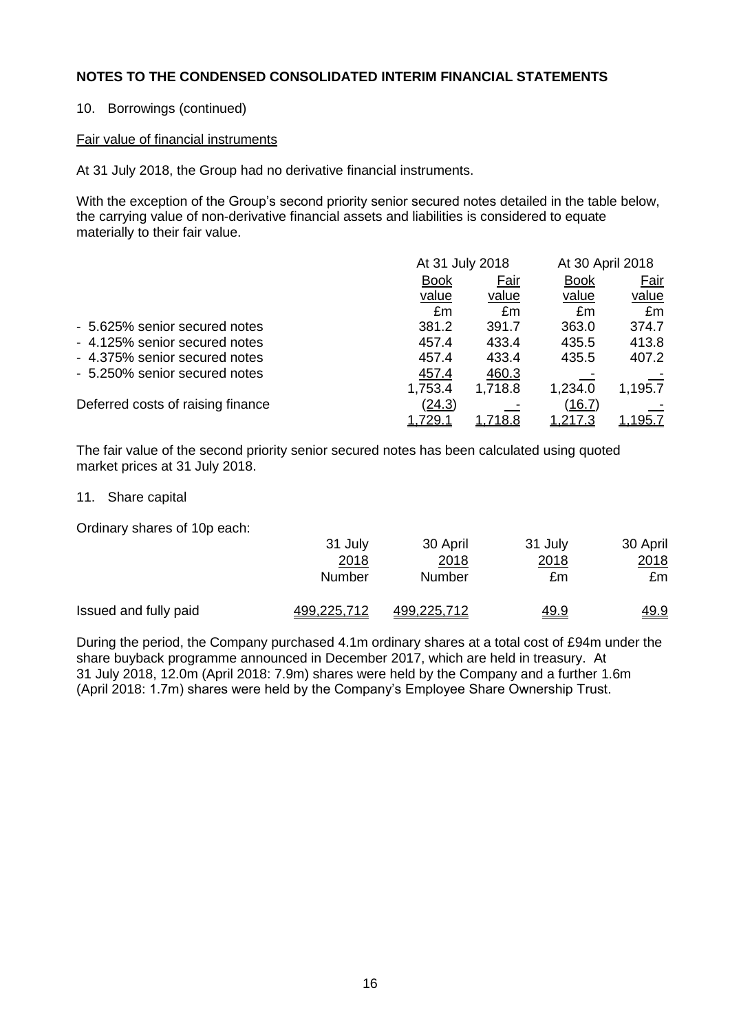### 10. Borrowings (continued)

#### Fair value of financial instruments

At 31 July 2018, the Group had no derivative financial instruments.

With the exception of the Group's second priority senior secured notes detailed in the table below, the carrying value of non-derivative financial assets and liabilities is considered to equate materially to their fair value.

|                                   | At 31 July 2018 |                | At 30 April 2018 |                |
|-----------------------------------|-----------------|----------------|------------------|----------------|
|                                   | <b>Book</b>     | Fair           | <b>Book</b>      | Fair           |
|                                   | value           | value          | value            | value          |
|                                   | £m              | £m             | £m               | £m             |
| - 5.625% senior secured notes     | 381.2           | 391.7          | 363.0            | 374.7          |
| - 4.125% senior secured notes     | 457.4           | 433.4          | 435.5            | 413.8          |
| - 4.375% senior secured notes     | 457.4           | 433.4          | 435.5            | 407.2          |
| - 5.250% senior secured notes     | 457.4           | 460.3          |                  |                |
|                                   | 1,753.4         | 1,718.8        | 1,234.0          | 1,195.7        |
| Deferred costs of raising finance | (24.3)          |                | (16.7)           |                |
|                                   | <u>1,729.1</u>  | <u>1,718.8</u> | 1,217.3          | <u>1,195.7</u> |

The fair value of the second priority senior secured notes has been calculated using quoted market prices at 31 July 2018.

#### 11. Share capital

Ordinary shares of 10p each:

|                       | 31 July     | 30 April    | 31 July     | 30 April    |
|-----------------------|-------------|-------------|-------------|-------------|
|                       | 2018        | 2018        | <u>2018</u> | 2018        |
|                       | Number      | Number      | £m          | £m          |
| Issued and fully paid | 499,225,712 | 499,225,712 | <u>49.9</u> | <u>49.9</u> |

During the period, the Company purchased 4.1m ordinary shares at a total cost of £94m under the share buyback programme announced in December 2017, which are held in treasury. At 31 July 2018, 12.0m (April 2018: 7.9m) shares were held by the Company and a further 1.6m (April 2018: 1.7m) shares were held by the Company's Employee Share Ownership Trust.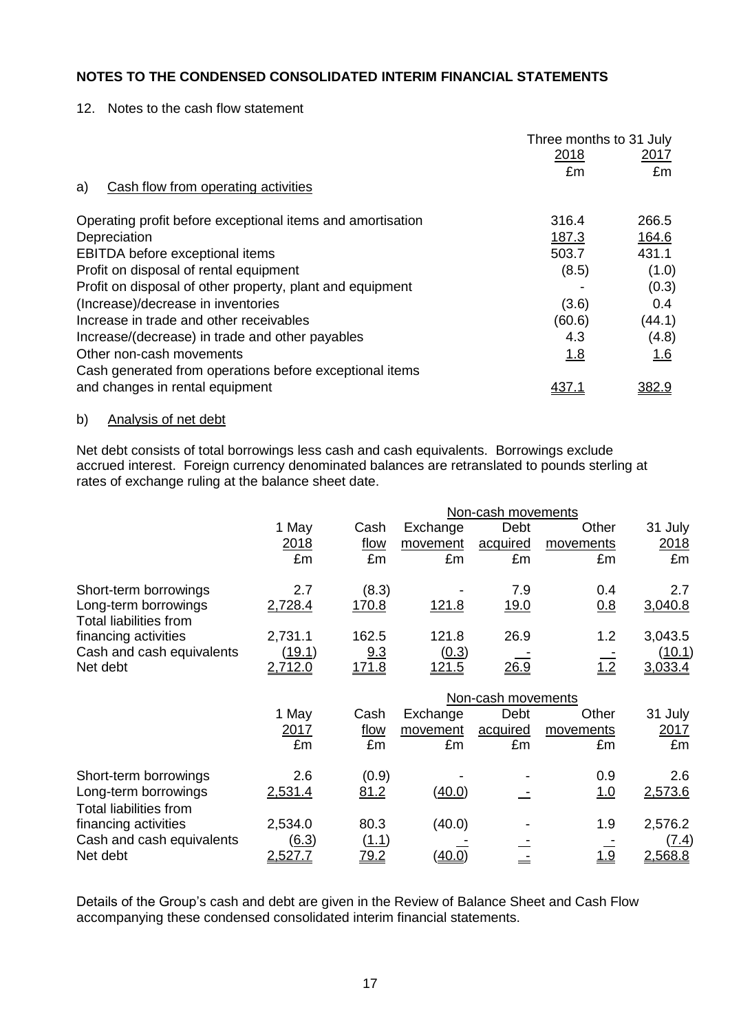12. Notes to the cash flow statement

|                                                            | Three months to 31 July |            |
|------------------------------------------------------------|-------------------------|------------|
|                                                            | 2018                    | 2017       |
|                                                            | £m                      | £m         |
| Cash flow from operating activities<br>a)                  |                         |            |
| Operating profit before exceptional items and amortisation | 316.4                   | 266.5      |
| Depreciation                                               | 187.3                   | 164.6      |
| EBITDA before exceptional items                            | 503.7                   | 431.1      |
| Profit on disposal of rental equipment                     | (8.5)                   | (1.0)      |
| Profit on disposal of other property, plant and equipment  |                         | (0.3)      |
| (Increase)/decrease in inventories                         | (3.6)                   | 0.4        |
| Increase in trade and other receivables                    | (60.6)                  | (44.1)     |
| Increase/(decrease) in trade and other payables            | 4.3                     | (4.8)      |
| Other non-cash movements                                   | 1.8                     | <u>1.6</u> |
| Cash generated from operations before exceptional items    |                         |            |
| and changes in rental equipment                            |                         | 382.9      |

# b) Analysis of net debt

Net debt consists of total borrowings less cash and cash equivalents. Borrowings exclude accrued interest. Foreign currency denominated balances are retranslated to pounds sterling at rates of exchange ruling at the balance sheet date.

|                                                       |                    |              |              | Non-cash movements |            |         |  |
|-------------------------------------------------------|--------------------|--------------|--------------|--------------------|------------|---------|--|
|                                                       | 1 May              | Cash         | Exchange     | Debt               | Other      | 31 July |  |
|                                                       | 2018               | flow         | movement     | acquired           | movements  | 2018    |  |
|                                                       | £m                 | £m           | £m           | £m                 | £m         | £m      |  |
| Short-term borrowings                                 | 2.7                | (8.3)        |              | 7.9                | 0.4        | 2.7     |  |
| Long-term borrowings<br><b>Total liabilities from</b> | 2,728.4            | <u>170.8</u> | <u>121.8</u> | <u>19.0</u>        | 0.8        | 3,040.8 |  |
| financing activities                                  | 2,731.1            | 162.5        | 121.8        | 26.9               | 1.2        | 3,043.5 |  |
| Cash and cash equivalents                             | (19.1)             | 9.3          | (0.3)        |                    |            | (10.1)  |  |
| Net debt                                              | 2,712.0            | <u>171.8</u> | <u>121.5</u> | 26.9               | 1.2        | 3,033.4 |  |
|                                                       | Non-cash movements |              |              |                    |            |         |  |
|                                                       | 1 May              | Cash         | Exchange     | Debt               | Other      | 31 July |  |
|                                                       | 2017               | flow         | movement     | acquired           | movements  | 2017    |  |
|                                                       | £m                 | £m           | £m           | £m                 | £m         | £m      |  |
| Short-term borrowings                                 | 2.6                | (0.9)        |              |                    | 0.9        | 2.6     |  |
| Long-term borrowings                                  | 2,531.4            | 81.2         | (40.0)       |                    | <u>1.0</u> | 2,573.6 |  |
| <b>Total liabilities from</b>                         |                    |              |              |                    |            |         |  |
| financing activities                                  | 2,534.0            | 80.3         | (40.0)       |                    | 1.9        | 2,576.2 |  |
| Cash and cash equivalents                             | <u>(6.3)</u>       | (1.1)        |              |                    |            | (7.4)   |  |
| Net debt                                              |                    |              |              |                    |            |         |  |

Details of the Group's cash and debt are given in the Review of Balance Sheet and Cash Flow accompanying these condensed consolidated interim financial statements.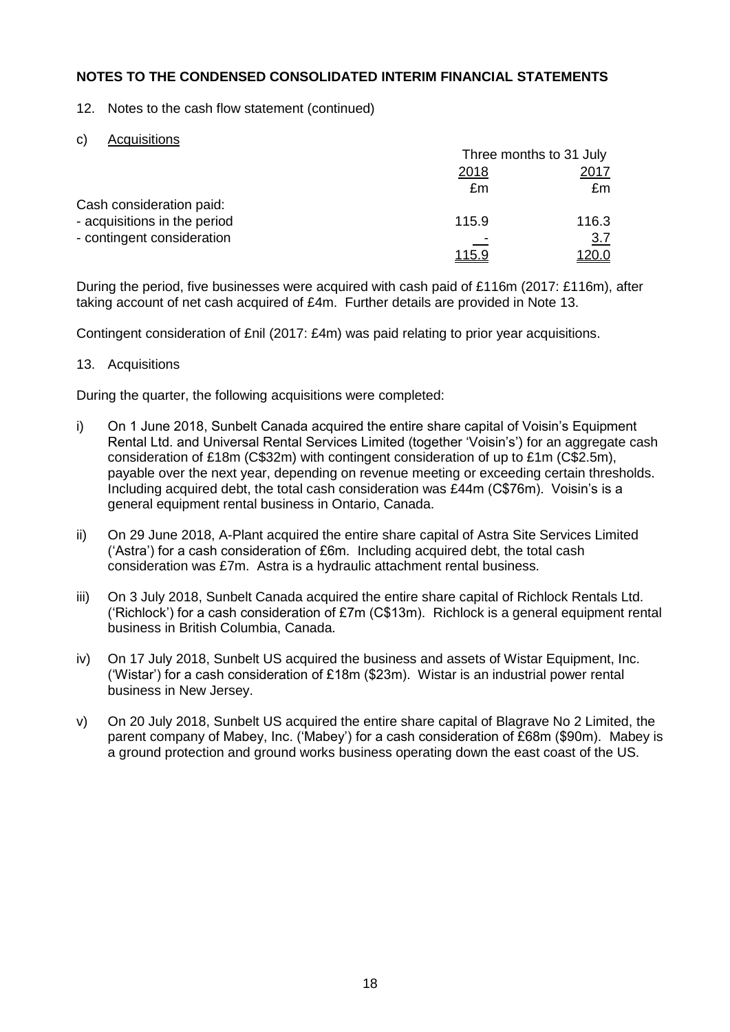12. Notes to the cash flow statement (continued)

c) Acquisitions

|                              | Three months to 31 July |            |  |
|------------------------------|-------------------------|------------|--|
|                              | 2018                    |            |  |
|                              | £m                      | £m         |  |
| Cash consideration paid:     |                         |            |  |
| - acquisitions in the period | 115.9                   | 116.3      |  |
| - contingent consideration   |                         | <u>3.7</u> |  |
|                              | <u> 115.9</u>           |            |  |

During the period, five businesses were acquired with cash paid of £116m (2017: £116m), after taking account of net cash acquired of £4m. Further details are provided in Note 13.

Contingent consideration of £nil (2017: £4m) was paid relating to prior year acquisitions.

# 13. Acquisitions

During the quarter, the following acquisitions were completed:

- i) On 1 June 2018, Sunbelt Canada acquired the entire share capital of Voisin's Equipment Rental Ltd. and Universal Rental Services Limited (together 'Voisin's') for an aggregate cash consideration of £18m (C\$32m) with contingent consideration of up to £1m (C\$2.5m), payable over the next year, depending on revenue meeting or exceeding certain thresholds. Including acquired debt, the total cash consideration was £44m (C\$76m). Voisin's is a general equipment rental business in Ontario, Canada.
- ii) On 29 June 2018, A-Plant acquired the entire share capital of Astra Site Services Limited ('Astra') for a cash consideration of £6m. Including acquired debt, the total cash consideration was £7m. Astra is a hydraulic attachment rental business.
- iii) On 3 July 2018, Sunbelt Canada acquired the entire share capital of Richlock Rentals Ltd. ('Richlock') for a cash consideration of £7m (C\$13m). Richlock is a general equipment rental business in British Columbia, Canada.
- iv) On 17 July 2018, Sunbelt US acquired the business and assets of Wistar Equipment, Inc. ('Wistar') for a cash consideration of £18m (\$23m). Wistar is an industrial power rental business in New Jersey.
- v) On 20 July 2018, Sunbelt US acquired the entire share capital of Blagrave No 2 Limited, the parent company of Mabey, Inc. ('Mabey') for a cash consideration of £68m (\$90m). Mabey is a ground protection and ground works business operating down the east coast of the US.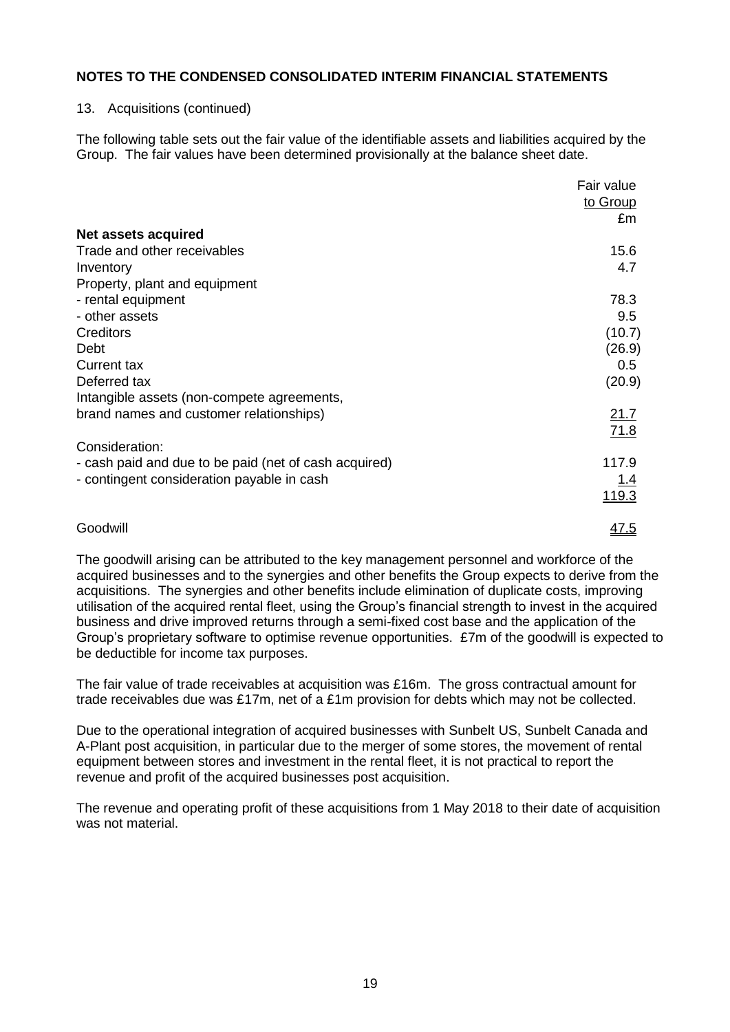### 13. Acquisitions (continued)

The following table sets out the fair value of the identifiable assets and liabilities acquired by the Group. The fair values have been determined provisionally at the balance sheet date.

|                                                       | Fair value       |
|-------------------------------------------------------|------------------|
|                                                       | to Group         |
|                                                       | £m               |
| Net assets acquired                                   |                  |
| Trade and other receivables                           | 15.6             |
| Inventory                                             | 4.7              |
| Property, plant and equipment                         |                  |
| - rental equipment                                    | 78.3             |
| - other assets                                        | 9.5              |
| Creditors                                             | (10.7)           |
| Debt                                                  | (26.9)           |
| <b>Current tax</b>                                    | 0.5 <sub>0</sub> |
| Deferred tax                                          | (20.9)           |
| Intangible assets (non-compete agreements,            |                  |
| brand names and customer relationships)               | 21.7             |
|                                                       | 71.8             |
| Consideration:                                        |                  |
| - cash paid and due to be paid (net of cash acquired) | 117.9            |
| - contingent consideration payable in cash            | <u> 1.4</u>      |
|                                                       | <u>119.3</u>     |
| Goodwill                                              | <u>47.5</u>      |

The goodwill arising can be attributed to the key management personnel and workforce of the acquired businesses and to the synergies and other benefits the Group expects to derive from the acquisitions. The synergies and other benefits include elimination of duplicate costs, improving utilisation of the acquired rental fleet, using the Group's financial strength to invest in the acquired business and drive improved returns through a semi-fixed cost base and the application of the Group's proprietary software to optimise revenue opportunities. £7m of the goodwill is expected to be deductible for income tax purposes.

The fair value of trade receivables at acquisition was £16m. The gross contractual amount for trade receivables due was £17m, net of a £1m provision for debts which may not be collected.

Due to the operational integration of acquired businesses with Sunbelt US, Sunbelt Canada and A-Plant post acquisition, in particular due to the merger of some stores, the movement of rental equipment between stores and investment in the rental fleet, it is not practical to report the revenue and profit of the acquired businesses post acquisition.

The revenue and operating profit of these acquisitions from 1 May 2018 to their date of acquisition was not material.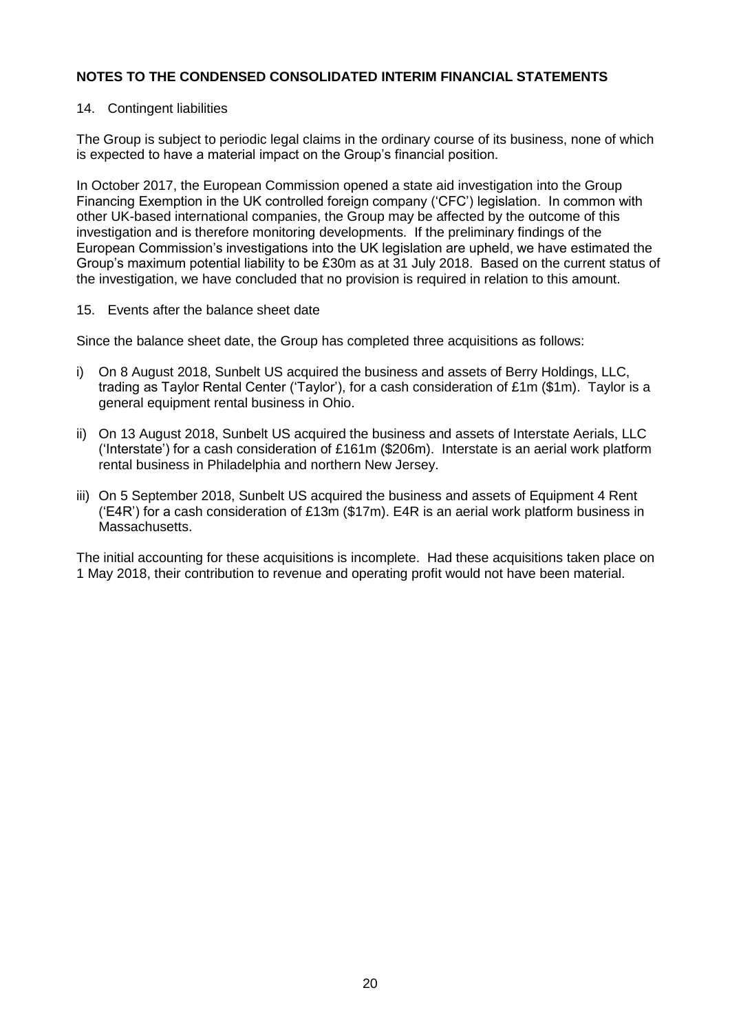### 14. Contingent liabilities

The Group is subject to periodic legal claims in the ordinary course of its business, none of which is expected to have a material impact on the Group's financial position.

In October 2017, the European Commission opened a state aid investigation into the Group Financing Exemption in the UK controlled foreign company ('CFC') legislation. In common with other UK-based international companies, the Group may be affected by the outcome of this investigation and is therefore monitoring developments. If the preliminary findings of the European Commission's investigations into the UK legislation are upheld, we have estimated the Group's maximum potential liability to be £30m as at 31 July 2018. Based on the current status of the investigation, we have concluded that no provision is required in relation to this amount.

15. Events after the balance sheet date

Since the balance sheet date, the Group has completed three acquisitions as follows:

- i) On 8 August 2018, Sunbelt US acquired the business and assets of Berry Holdings, LLC, trading as Taylor Rental Center ('Taylor'), for a cash consideration of £1m (\$1m). Taylor is a general equipment rental business in Ohio.
- ii) On 13 August 2018, Sunbelt US acquired the business and assets of Interstate Aerials, LLC ('Interstate') for a cash consideration of £161m (\$206m). Interstate is an aerial work platform rental business in Philadelphia and northern New Jersey.
- iii) On 5 September 2018, Sunbelt US acquired the business and assets of Equipment 4 Rent ('E4R') for a cash consideration of £13m (\$17m). E4R is an aerial work platform business in Massachusetts.

The initial accounting for these acquisitions is incomplete. Had these acquisitions taken place on 1 May 2018, their contribution to revenue and operating profit would not have been material.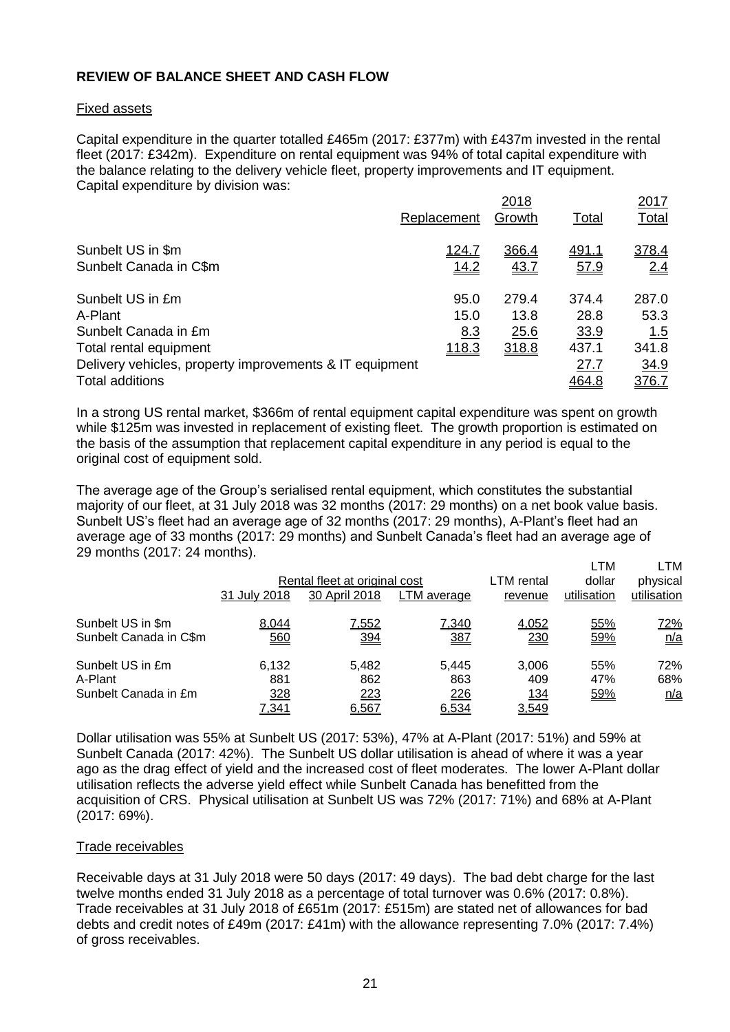# **REVIEW OF BALANCE SHEET AND CASH FLOW**

#### Fixed assets

Capital expenditure in the quarter totalled £465m (2017: £377m) with £437m invested in the rental fleet (2017: £342m). Expenditure on rental equipment was 94% of total capital expenditure with the balance relating to the delivery vehicle fleet, property improvements and IT equipment. Capital expenditure by division was:

|                                                         | Replacement   | 2018<br>Growth | Total        | 2017<br><b>Total</b> |
|---------------------------------------------------------|---------------|----------------|--------------|----------------------|
| Sunbelt US in \$m                                       | <u> 124.7</u> | 366.4          | <u>491.1</u> | 378.4                |
| Sunbelt Canada in C\$m                                  | 14.2          | 43.7           | 57.9         | 2.4                  |
| Sunbelt US in £m                                        | 95.0          | 279.4          | 374.4        | 287.0                |
| A-Plant                                                 | 15.0          | 13.8           | 28.8         | 53.3                 |
| Sunbelt Canada in £m                                    | 8.3           | 25.6           | 33.9         | <u>1.5</u>           |
| Total rental equipment                                  | 118.3         | 318.8          | 437.1        | 341.8                |
| Delivery vehicles, property improvements & IT equipment |               |                | 27.7         | 34.9                 |
| Total additions                                         |               |                | 464.8        | 376.7                |

In a strong US rental market, \$366m of rental equipment capital expenditure was spent on growth while \$125m was invested in replacement of existing fleet. The growth proportion is estimated on the basis of the assumption that replacement capital expenditure in any period is equal to the original cost of equipment sold.

The average age of the Group's serialised rental equipment, which constitutes the substantial majority of our fleet, at 31 July 2018 was 32 months (2017: 29 months) on a net book value basis. Sunbelt US's fleet had an average age of 32 months (2017: 29 months), A-Plant's fleet had an average age of 33 months (2017: 29 months) and Sunbelt Canada's fleet had an average age of 29 months (2017: 24 months).

|                                                     | 31 July 2018                 | Rental fleet at original cost<br>30 April 2018 | LTM average                  | LTM rental<br>revenue        | ∟TM<br>dollar<br>utilisation | LTM<br>physical<br>utilisation                    |
|-----------------------------------------------------|------------------------------|------------------------------------------------|------------------------------|------------------------------|------------------------------|---------------------------------------------------|
| Sunbelt US in \$m<br>Sunbelt Canada in C\$m         | 8,044<br>560                 | 7,552<br>394                                   | 7,340<br>387                 | 4,052<br>230                 | 55%<br>59%                   | <u>72%</u><br>$\underline{\mathsf{n}/\mathsf{a}}$ |
| Sunbelt US in £m<br>A-Plant<br>Sunbelt Canada in £m | 6,132<br>881<br>328<br>7,341 | 5.482<br>862<br>223<br>6,567                   | 5.445<br>863<br>226<br>6,534 | 3,006<br>409<br>134<br>3,549 | 55%<br>47%<br>59%            | 72%<br>68%<br>n/a                                 |

Dollar utilisation was 55% at Sunbelt US (2017: 53%), 47% at A-Plant (2017: 51%) and 59% at Sunbelt Canada (2017: 42%). The Sunbelt US dollar utilisation is ahead of where it was a year ago as the drag effect of yield and the increased cost of fleet moderates. The lower A-Plant dollar utilisation reflects the adverse yield effect while Sunbelt Canada has benefitted from the acquisition of CRS. Physical utilisation at Sunbelt US was 72% (2017: 71%) and 68% at A-Plant (2017: 69%).

#### Trade receivables

Receivable days at 31 July 2018 were 50 days (2017: 49 days). The bad debt charge for the last twelve months ended 31 July 2018 as a percentage of total turnover was 0.6% (2017: 0.8%). Trade receivables at 31 July 2018 of £651m (2017: £515m) are stated net of allowances for bad debts and credit notes of £49m (2017: £41m) with the allowance representing 7.0% (2017: 7.4%) of gross receivables.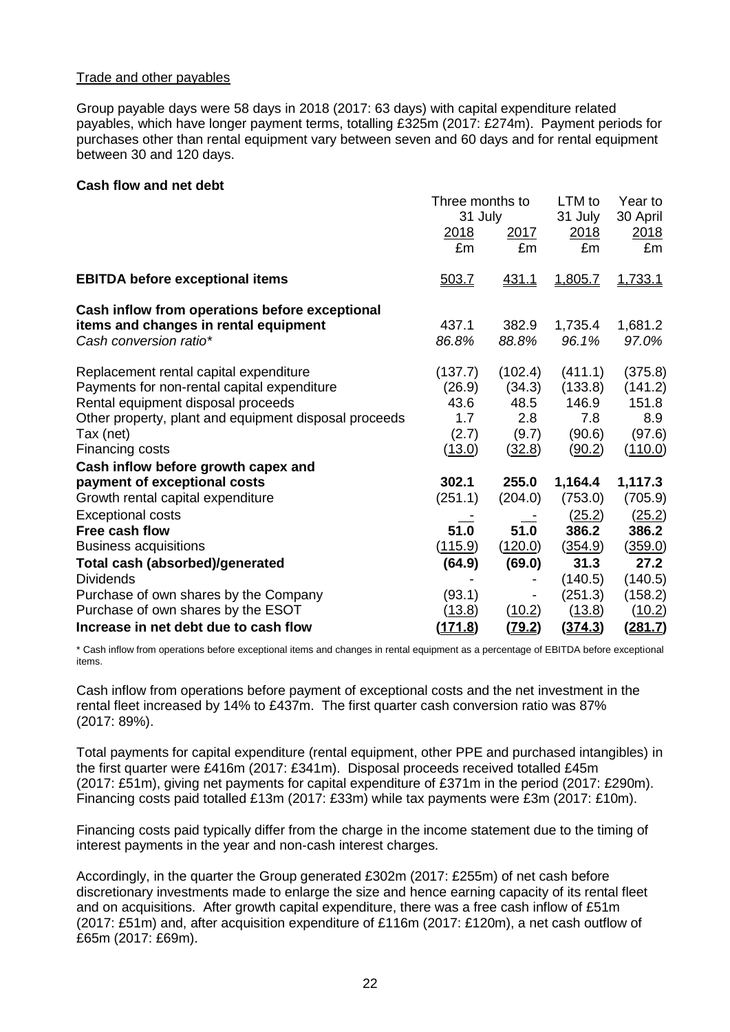## Trade and other payables

Group payable days were 58 days in 2018 (2017: 63 days) with capital expenditure related payables, which have longer payment terms, totalling £325m (2017: £274m). Payment periods for purchases other than rental equipment vary between seven and 60 days and for rental equipment between 30 and 120 days.

### **Cash flow and net debt**

|                                                                 | Three months to<br>31 July<br>2018<br><u>2017</u> |                | LTM to<br>31 July<br><u>2018</u> | Year to<br>30 April<br>2018 |
|-----------------------------------------------------------------|---------------------------------------------------|----------------|----------------------------------|-----------------------------|
|                                                                 | £m                                                | £m             | £m                               | £m                          |
| <b>EBITDA before exceptional items</b>                          | 503.7                                             | <u>431.1</u>   | 1,805.7                          | 1,733.1                     |
| Cash inflow from operations before exceptional                  |                                                   |                |                                  |                             |
| items and changes in rental equipment<br>Cash conversion ratio* | 437.1<br>86.8%                                    | 382.9<br>88.8% | 1,735.4<br>96.1%                 | 1,681.2<br>97.0%            |
| Replacement rental capital expenditure                          | (137.7)                                           | (102.4)        | (411.1)                          | (375.8)                     |
| Payments for non-rental capital expenditure                     | (26.9)                                            | (34.3)         | (133.8)                          | (141.2)                     |
| Rental equipment disposal proceeds                              | 43.6                                              | 48.5           | 146.9                            | 151.8                       |
| Other property, plant and equipment disposal proceeds           | 1.7                                               | 2.8            | 7.8                              | 8.9                         |
| Tax (net)                                                       | (2.7)                                             | (9.7)          | (90.6)                           | (97.6)                      |
| Financing costs                                                 | (13.0)                                            | (32.8)         | (90.2)                           | (110.0)                     |
| Cash inflow before growth capex and                             |                                                   |                |                                  |                             |
| payment of exceptional costs                                    | 302.1                                             | 255.0          | 1,164.4                          | 1,117.3                     |
| Growth rental capital expenditure                               | (251.1)                                           | (204.0)        | (753.0)                          | (705.9)                     |
| <b>Exceptional costs</b>                                        |                                                   |                | (25.2)                           | (25.2)                      |
| Free cash flow                                                  | 51.0                                              | 51.0           | 386.2                            | 386.2                       |
| <b>Business acquisitions</b>                                    | (115.9)                                           | (120.0)        | (354.9)                          | (359.0)                     |
| Total cash (absorbed)/generated                                 | (64.9)                                            | (69.0)         | 31.3                             | 27.2                        |
| <b>Dividends</b>                                                |                                                   |                | (140.5)                          | (140.5)                     |
| Purchase of own shares by the Company                           | (93.1)                                            |                | (251.3)                          | (158.2)                     |
| Purchase of own shares by the ESOT                              | (13.8)                                            | (10.2)         | (13.8)                           | (10.2)                      |
| Increase in net debt due to cash flow                           | (171.8)                                           | (79.2)         | (374.3)                          | (281.7)                     |

\* Cash inflow from operations before exceptional items and changes in rental equipment as a percentage of EBITDA before exceptional items.

Cash inflow from operations before payment of exceptional costs and the net investment in the rental fleet increased by 14% to £437m. The first quarter cash conversion ratio was 87% (2017: 89%).

Total payments for capital expenditure (rental equipment, other PPE and purchased intangibles) in the first quarter were £416m (2017: £341m). Disposal proceeds received totalled £45m (2017: £51m), giving net payments for capital expenditure of £371m in the period (2017: £290m). Financing costs paid totalled £13m (2017: £33m) while tax payments were £3m (2017: £10m).

Financing costs paid typically differ from the charge in the income statement due to the timing of interest payments in the year and non-cash interest charges.

Accordingly, in the quarter the Group generated £302m (2017: £255m) of net cash before discretionary investments made to enlarge the size and hence earning capacity of its rental fleet and on acquisitions. After growth capital expenditure, there was a free cash inflow of £51m (2017: £51m) and, after acquisition expenditure of £116m (2017: £120m), a net cash outflow of £65m (2017: £69m).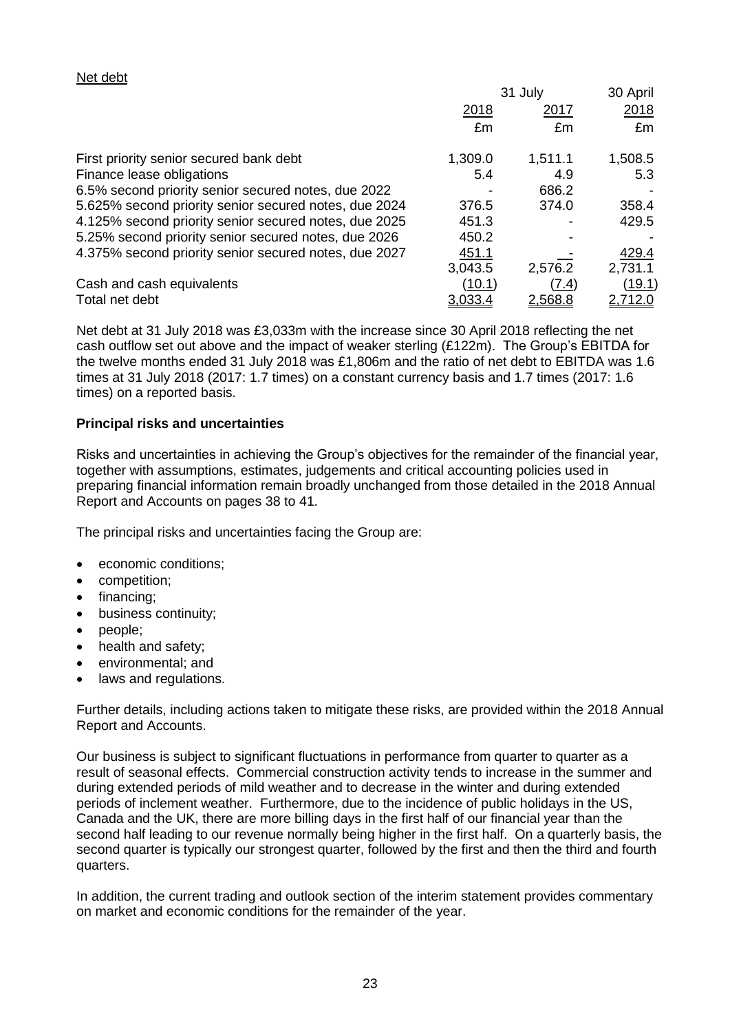# Net debt

|                                                       | 31 July |         | 30 April      |  |
|-------------------------------------------------------|---------|---------|---------------|--|
|                                                       | 2018    | 2017    | 2018          |  |
|                                                       | £m      | £m      | £m            |  |
| First priority senior secured bank debt               | 1,309.0 | 1,511.1 | 1,508.5       |  |
| Finance lease obligations                             | 5.4     | 4.9     | 5.3           |  |
| 6.5% second priority senior secured notes, due 2022   |         | 686.2   |               |  |
| 5.625% second priority senior secured notes, due 2024 | 376.5   | 374.0   | 358.4         |  |
| 4.125% second priority senior secured notes, due 2025 | 451.3   |         | 429.5         |  |
| 5.25% second priority senior secured notes, due 2026  | 450.2   |         |               |  |
| 4.375% second priority senior secured notes, due 2027 | 451.1   |         | 429.4         |  |
|                                                       | 3,043.5 | 2,576.2 | 2,731.1       |  |
| Cash and cash equivalents                             | (10.1)  | (7.4)   | <u>(19.1)</u> |  |
| Total net debt                                        | 3,033.4 | 2,568.8 | 2,712.0       |  |

Net debt at 31 July 2018 was £3,033m with the increase since 30 April 2018 reflecting the net cash outflow set out above and the impact of weaker sterling (£122m). The Group's EBITDA for the twelve months ended 31 July 2018 was £1,806m and the ratio of net debt to EBITDA was 1.6 times at 31 July 2018 (2017: 1.7 times) on a constant currency basis and 1.7 times (2017: 1.6 times) on a reported basis.

# **Principal risks and uncertainties**

Risks and uncertainties in achieving the Group's objectives for the remainder of the financial year, together with assumptions, estimates, judgements and critical accounting policies used in preparing financial information remain broadly unchanged from those detailed in the 2018 Annual Report and Accounts on pages 38 to 41.

The principal risks and uncertainties facing the Group are:

- economic conditions;
- competition;
- financing;
- business continuity;
- people;
- health and safety;
- environmental; and
- laws and regulations.

Further details, including actions taken to mitigate these risks, are provided within the 2018 Annual Report and Accounts.

Our business is subject to significant fluctuations in performance from quarter to quarter as a result of seasonal effects. Commercial construction activity tends to increase in the summer and during extended periods of mild weather and to decrease in the winter and during extended periods of inclement weather. Furthermore, due to the incidence of public holidays in the US, Canada and the UK, there are more billing days in the first half of our financial year than the second half leading to our revenue normally being higher in the first half. On a quarterly basis, the second quarter is typically our strongest quarter, followed by the first and then the third and fourth quarters.

In addition, the current trading and outlook section of the interim statement provides commentary on market and economic conditions for the remainder of the year.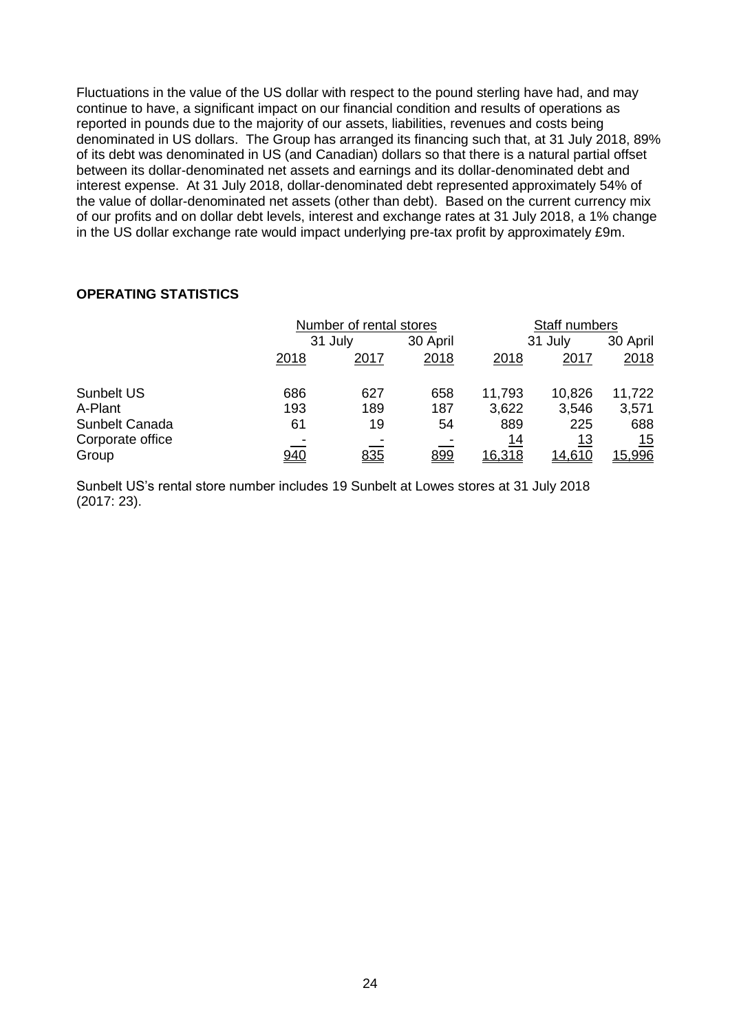Fluctuations in the value of the US dollar with respect to the pound sterling have had, and may continue to have, a significant impact on our financial condition and results of operations as reported in pounds due to the majority of our assets, liabilities, revenues and costs being denominated in US dollars. The Group has arranged its financing such that, at 31 July 2018, 89% of its debt was denominated in US (and Canadian) dollars so that there is a natural partial offset between its dollar-denominated net assets and earnings and its dollar-denominated debt and interest expense. At 31 July 2018, dollar-denominated debt represented approximately 54% of the value of dollar-denominated net assets (other than debt). Based on the current currency mix of our profits and on dollar debt levels, interest and exchange rates at 31 July 2018, a 1% change in the US dollar exchange rate would impact underlying pre-tax profit by approximately £9m.

# **OPERATING STATISTICS**

|                   | Number of rental stores |         |            | Staff numbers |               |               |
|-------------------|-------------------------|---------|------------|---------------|---------------|---------------|
|                   |                         | 31 July |            |               | 31 July       |               |
|                   | 2018                    | 2017    | 2018       | 2018          | 2017          | 2018          |
| <b>Sunbelt US</b> | 686                     | 627     | 658        | 11,793        | 10,826        | 11,722        |
| A-Plant           | 193                     | 189     | 187        | 3,622         | 3,546         | 3,571         |
| Sunbelt Canada    | 61                      | 19      | 54         | 889           | 225           | 688           |
| Corporate office  |                         |         |            | 14            | <u> 13</u>    | 15            |
| Group             | 940                     | 835     | <u>899</u> | 16,318        | <u>14,610</u> | <u>15,996</u> |

Sunbelt US's rental store number includes 19 Sunbelt at Lowes stores at 31 July 2018 (2017: 23).